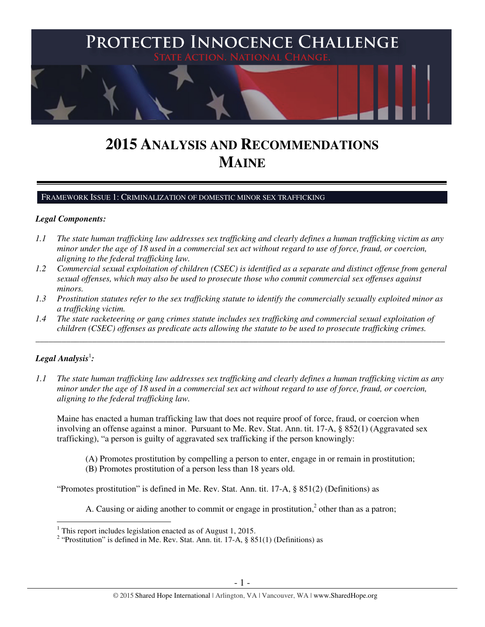

# **2015 ANALYSIS AND RECOMMENDATIONS MAINE**

#### FRAMEWORK ISSUE 1: CRIMINALIZATION OF DOMESTIC MINOR SEX TRAFFICKING

## *Legal Components:*

- *1.1 The state human trafficking law addresses sex trafficking and clearly defines a human trafficking victim as any minor under the age of 18 used in a commercial sex act without regard to use of force, fraud, or coercion, aligning to the federal trafficking law.*
- *1.2 Commercial sexual exploitation of children (CSEC) is identified as a separate and distinct offense from general sexual offenses, which may also be used to prosecute those who commit commercial sex offenses against minors.*
- *1.3 Prostitution statutes refer to the sex trafficking statute to identify the commercially sexually exploited minor as a trafficking victim.*

\_\_\_\_\_\_\_\_\_\_\_\_\_\_\_\_\_\_\_\_\_\_\_\_\_\_\_\_\_\_\_\_\_\_\_\_\_\_\_\_\_\_\_\_\_\_\_\_\_\_\_\_\_\_\_\_\_\_\_\_\_\_\_\_\_\_\_\_\_\_\_\_\_\_\_\_\_\_\_\_\_\_\_\_\_\_\_\_\_\_\_\_\_\_

*1.4 The state racketeering or gang crimes statute includes sex trafficking and commercial sexual exploitation of children (CSEC) offenses as predicate acts allowing the statute to be used to prosecute trafficking crimes.* 

# $\bm{\mathit{Legal\, Analysis}^{\text{!}}:}$

*1.1 The state human trafficking law addresses sex trafficking and clearly defines a human trafficking victim as any minor under the age of 18 used in a commercial sex act without regard to use of force, fraud, or coercion, aligning to the federal trafficking law.*

Maine has enacted a human trafficking law that does not require proof of force, fraud, or coercion when involving an offense against a minor. Pursuant to Me. Rev. Stat. Ann. tit. 17-A, § 852(1) (Aggravated sex trafficking), "a person is guilty of aggravated sex trafficking if the person knowingly:

- (A) Promotes prostitution by compelling a person to enter, engage in or remain in prostitution;
- (B) Promotes prostitution of a person less than 18 years old.

"Promotes prostitution" is defined in Me. Rev. Stat. Ann. tit. 17-A, § 851(2) (Definitions) as

A. Causing or aiding another to commit or engage in prostitution, $<sup>2</sup>$  other than as a patron;</sup>

 1 This report includes legislation enacted as of August 1, 2015.

<sup>&</sup>lt;sup>2</sup> "Prostitution" is defined in Me. Rev. Stat. Ann. tit. 17-A, § 851(1) (Definitions) as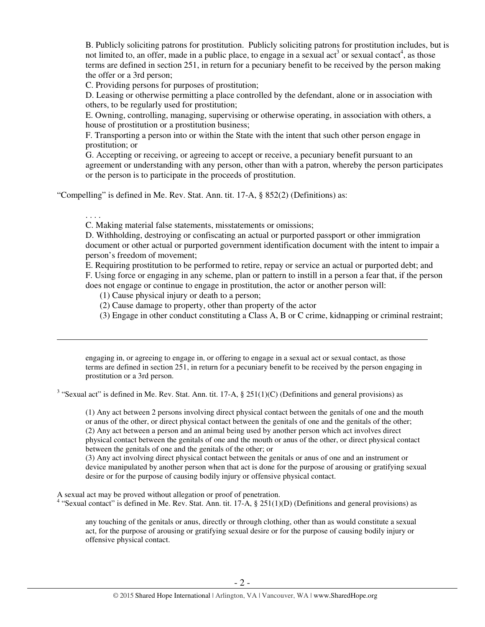B. Publicly soliciting patrons for prostitution. Publicly soliciting patrons for prostitution includes, but is not limited to, an offer, made in a public place, to engage in a sexual act<sup>3</sup> or sexual contact<sup>4</sup>, as those terms are defined in section 251, in return for a pecuniary benefit to be received by the person making the offer or a 3rd person;

C. Providing persons for purposes of prostitution;

D. Leasing or otherwise permitting a place controlled by the defendant, alone or in association with others, to be regularly used for prostitution;

E. Owning, controlling, managing, supervising or otherwise operating, in association with others, a house of prostitution or a prostitution business;

F. Transporting a person into or within the State with the intent that such other person engage in prostitution; or

G. Accepting or receiving, or agreeing to accept or receive, a pecuniary benefit pursuant to an agreement or understanding with any person, other than with a patron, whereby the person participates or the person is to participate in the proceeds of prostitution.

"Compelling" is defined in Me. Rev. Stat. Ann. tit. 17-A, § 852(2) (Definitions) as:

. . . .

 $\overline{a}$ 

C. Making material false statements, misstatements or omissions;

D. Withholding, destroying or confiscating an actual or purported passport or other immigration document or other actual or purported government identification document with the intent to impair a person's freedom of movement;

E. Requiring prostitution to be performed to retire, repay or service an actual or purported debt; and F. Using force or engaging in any scheme, plan or pattern to instill in a person a fear that, if the person does not engage or continue to engage in prostitution, the actor or another person will:

(1) Cause physical injury or death to a person;

(2) Cause damage to property, other than property of the actor

(3) Engage in other conduct constituting a Class A, B or C crime, kidnapping or criminal restraint;

engaging in, or agreeing to engage in, or offering to engage in a sexual act or sexual contact, as those terms are defined in section 251, in return for a pecuniary benefit to be received by the person engaging in prostitution or a 3rd person.

<sup>3</sup> "Sexual act" is defined in Me. Rev. Stat. Ann. tit. 17-A,  $\S 251(1)(C)$  (Definitions and general provisions) as

(1) Any act between 2 persons involving direct physical contact between the genitals of one and the mouth or anus of the other, or direct physical contact between the genitals of one and the genitals of the other; (2) Any act between a person and an animal being used by another person which act involves direct physical contact between the genitals of one and the mouth or anus of the other, or direct physical contact between the genitals of one and the genitals of the other; or

(3) Any act involving direct physical contact between the genitals or anus of one and an instrument or device manipulated by another person when that act is done for the purpose of arousing or gratifying sexual desire or for the purpose of causing bodily injury or offensive physical contact.

A sexual act may be proved without allegation or proof of penetration.

<sup>4</sup> "Sexual contact" is defined in Me. Rev. Stat. Ann. tit. 17-A, § 251(1)(D) (Definitions and general provisions) as

any touching of the genitals or anus, directly or through clothing, other than as would constitute a sexual act, for the purpose of arousing or gratifying sexual desire or for the purpose of causing bodily injury or offensive physical contact.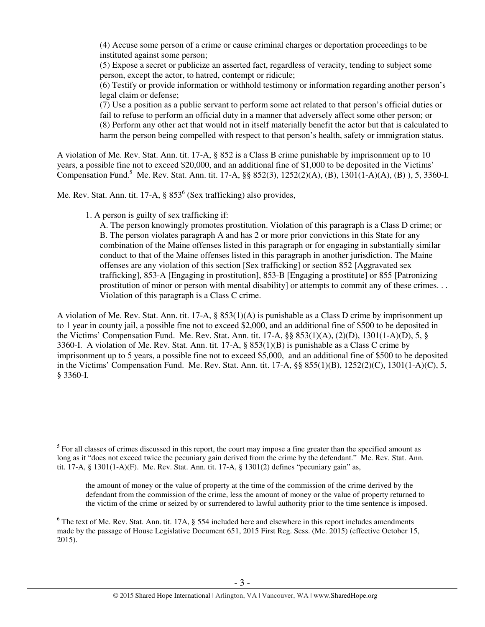(4) Accuse some person of a crime or cause criminal charges or deportation proceedings to be instituted against some person;

(5) Expose a secret or publicize an asserted fact, regardless of veracity, tending to subject some person, except the actor, to hatred, contempt or ridicule;

(6) Testify or provide information or withhold testimony or information regarding another person's legal claim or defense;

(7) Use a position as a public servant to perform some act related to that person's official duties or fail to refuse to perform an official duty in a manner that adversely affect some other person; or (8) Perform any other act that would not in itself materially benefit the actor but that is calculated to harm the person being compelled with respect to that person's health, safety or immigration status.

A violation of Me. Rev. Stat. Ann. tit. 17-A, § 852 is a Class B crime punishable by imprisonment up to 10 years, a possible fine not to exceed \$20,000, and an additional fine of \$1,000 to be deposited in the Victims' Compensation Fund.<sup>5</sup> Me. Rev. Stat. Ann. tit. 17-A, §§ 852(3), 1252(2)(A), (B), 1301(1-A)(A), (B)), 5, 3360-I.

Me. Rev. Stat. Ann. tit. 17-A,  $\S 853^6$  (Sex trafficking) also provides,

1. A person is guilty of sex trafficking if:

 $\overline{a}$ 

A. The person knowingly promotes prostitution. Violation of this paragraph is a Class D crime; or B. The person violates paragraph A and has 2 or more prior convictions in this State for any combination of the Maine offenses listed in this paragraph or for engaging in substantially similar conduct to that of the Maine offenses listed in this paragraph in another jurisdiction. The Maine offenses are any violation of this section [Sex trafficking] or section 852 [Aggravated sex trafficking], 853-A [Engaging in prostitution], 853-B [Engaging a prostitute] or 855 [Patronizing prostitution of minor or person with mental disability] or attempts to commit any of these crimes. . . Violation of this paragraph is a Class C crime.

A violation of Me. Rev. Stat. Ann. tit. 17-A, § 853(1)(A) is punishable as a Class D crime by imprisonment up to 1 year in county jail, a possible fine not to exceed \$2,000, and an additional fine of \$500 to be deposited in the Victims' Compensation Fund. Me. Rev. Stat. Ann. tit. 17-A, §§ 853(1)(A), (2)(D), 1301(1-A)(D), 5, § 3360-I. A violation of Me. Rev. Stat. Ann. tit. 17-A, § 853(1)(B) is punishable as a Class C crime by imprisonment up to 5 years, a possible fine not to exceed \$5,000, and an additional fine of \$500 to be deposited in the Victims' Compensation Fund. Me. Rev. Stat. Ann. tit. 17-A, §§ 855(1)(B), 1252(2)(C), 1301(1-A)(C), 5, § 3360-I.

<sup>&</sup>lt;sup>5</sup> For all classes of crimes discussed in this report, the court may impose a fine greater than the specified amount as long as it "does not exceed twice the pecuniary gain derived from the crime by the defendant." Me. Rev. Stat. Ann. tit. 17-A,  $\S$  1301(1-A)(F). Me. Rev. Stat. Ann. tit. 17-A,  $\S$  1301(2) defines "pecuniary gain" as,

the amount of money or the value of property at the time of the commission of the crime derived by the defendant from the commission of the crime, less the amount of money or the value of property returned to the victim of the crime or seized by or surrendered to lawful authority prior to the time sentence is imposed.

 $6$  The text of Me. Rev. Stat. Ann. tit. 17A,  $\S$  554 included here and elsewhere in this report includes amendments made by the passage of House Legislative Document 651, 2015 First Reg. Sess. (Me. 2015) (effective October 15, 2015).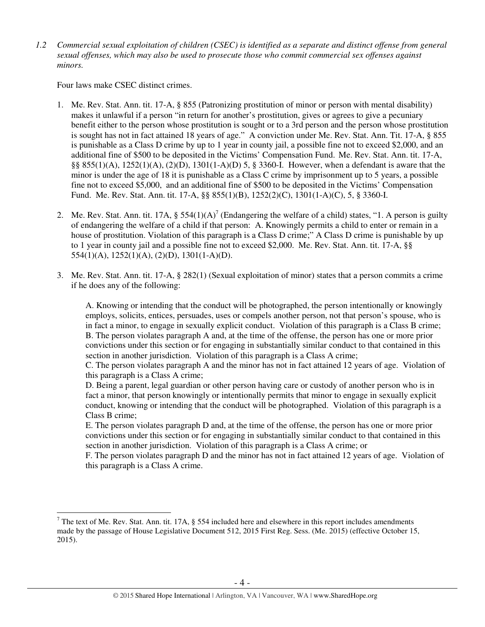*1.2 Commercial sexual exploitation of children (CSEC) is identified as a separate and distinct offense from general sexual offenses, which may also be used to prosecute those who commit commercial sex offenses against minors.*

Four laws make CSEC distinct crimes.

 $\overline{a}$ 

- 1. Me. Rev. Stat. Ann. tit. 17-A, § 855 (Patronizing prostitution of minor or person with mental disability) makes it unlawful if a person "in return for another's prostitution, gives or agrees to give a pecuniary benefit either to the person whose prostitution is sought or to a 3rd person and the person whose prostitution is sought has not in fact attained 18 years of age." A conviction under Me. Rev. Stat. Ann. Tit. 17-A, § 855 is punishable as a Class D crime by up to 1 year in county jail, a possible fine not to exceed \$2,000, and an additional fine of \$500 to be deposited in the Victims' Compensation Fund. Me. Rev. Stat. Ann. tit. 17-A, §§ 855(1)(A), 1252(1)(A), (2)(D), 1301(1-A)(D) 5, § 3360-I. However, when a defendant is aware that the minor is under the age of 18 it is punishable as a Class C crime by imprisonment up to 5 years, a possible fine not to exceed \$5,000, and an additional fine of \$500 to be deposited in the Victims' Compensation Fund. Me. Rev. Stat. Ann. tit. 17-A, §§ 855(1)(B), 1252(2)(C), 1301(1-A)(C), 5, § 3360-I.
- 2. Me. Rev. Stat. Ann. tit. 17A,  $\S 554(1)(A)^7$  (Endangering the welfare of a child) states, "1. A person is guilty of endangering the welfare of a child if that person: A. Knowingly permits a child to enter or remain in a house of prostitution. Violation of this paragraph is a Class D crime;" A Class D crime is punishable by up to 1 year in county jail and a possible fine not to exceed \$2,000. Me. Rev. Stat. Ann. tit. 17-A, §§ 554(1)(A), 1252(1)(A), (2)(D), 1301(1-A)(D).
- 3. Me. Rev. Stat. Ann. tit. 17-A, § 282(1) (Sexual exploitation of minor) states that a person commits a crime if he does any of the following:

A. Knowing or intending that the conduct will be photographed, the person intentionally or knowingly employs, solicits, entices, persuades, uses or compels another person, not that person's spouse, who is in fact a minor, to engage in sexually explicit conduct. Violation of this paragraph is a Class B crime; B. The person violates paragraph A and, at the time of the offense, the person has one or more prior convictions under this section or for engaging in substantially similar conduct to that contained in this section in another jurisdiction. Violation of this paragraph is a Class A crime;

C. The person violates paragraph A and the minor has not in fact attained 12 years of age. Violation of this paragraph is a Class A crime;

D. Being a parent, legal guardian or other person having care or custody of another person who is in fact a minor, that person knowingly or intentionally permits that minor to engage in sexually explicit conduct, knowing or intending that the conduct will be photographed. Violation of this paragraph is a Class B crime;

E. The person violates paragraph D and, at the time of the offense, the person has one or more prior convictions under this section or for engaging in substantially similar conduct to that contained in this section in another jurisdiction. Violation of this paragraph is a Class A crime; or

F. The person violates paragraph D and the minor has not in fact attained 12 years of age. Violation of this paragraph is a Class A crime.

<sup>&</sup>lt;sup>7</sup> The text of Me. Rev. Stat. Ann. tit. 17A, § 554 included here and elsewhere in this report includes amendments made by the passage of House Legislative Document 512, 2015 First Reg. Sess. (Me. 2015) (effective October 15, 2015).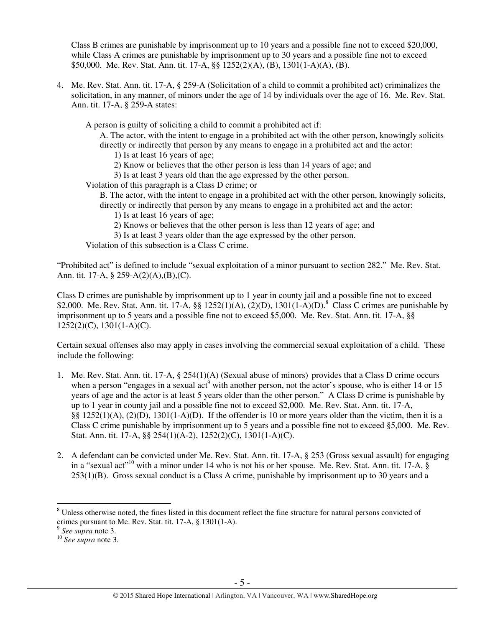Class B crimes are punishable by imprisonment up to 10 years and a possible fine not to exceed \$20,000, while Class A crimes are punishable by imprisonment up to 30 years and a possible fine not to exceed \$50,000. Me. Rev. Stat. Ann. tit. 17-A, §§ 1252(2)(A), (B), 1301(1-A)(A), (B).

4. Me. Rev. Stat. Ann. tit. 17-A, § 259-A (Solicitation of a child to commit a prohibited act) criminalizes the solicitation, in any manner, of minors under the age of 14 by individuals over the age of 16. Me. Rev. Stat. Ann. tit. 17-A, § 259-A states:

A person is guilty of soliciting a child to commit a prohibited act if:

A. The actor, with the intent to engage in a prohibited act with the other person, knowingly solicits directly or indirectly that person by any means to engage in a prohibited act and the actor:

1) Is at least 16 years of age;

2) Know or believes that the other person is less than 14 years of age; and

3) Is at least 3 years old than the age expressed by the other person.

Violation of this paragraph is a Class D crime; or

B. The actor, with the intent to engage in a prohibited act with the other person, knowingly solicits, directly or indirectly that person by any means to engage in a prohibited act and the actor:

- 1) Is at least 16 years of age;
- 2) Knows or believes that the other person is less than 12 years of age; and
- 3) Is at least 3 years older than the age expressed by the other person.

Violation of this subsection is a Class C crime.

"Prohibited act" is defined to include "sexual exploitation of a minor pursuant to section 282." Me. Rev. Stat. Ann. tit. 17-A, § 259-A(2)(A),(B),(C).

Class D crimes are punishable by imprisonment up to 1 year in county jail and a possible fine not to exceed \$2,000. Me. Rev. Stat. Ann. tit. 17-A,  $\S$  1252(1)(A), (2)(D), 1301(1-A)(D).<sup>8</sup> Class C crimes are punishable by imprisonment up to 5 years and a possible fine not to exceed \$5,000. Me. Rev. Stat. Ann. tit. 17-A, §§ 1252(2)(C), 1301(1-A)(C).

Certain sexual offenses also may apply in cases involving the commercial sexual exploitation of a child. These include the following:

- 1. Me. Rev. Stat. Ann. tit. 17-A, § 254(1)(A) (Sexual abuse of minors) provides that a Class D crime occurs when a person "engages in a sexual act<sup>9</sup> with another person, not the actor's spouse, who is either 14 or 15 years of age and the actor is at least 5 years older than the other person." A Class D crime is punishable by up to 1 year in county jail and a possible fine not to exceed \$2,000. Me. Rev. Stat. Ann. tit. 17-A, §§ 1252(1)(A), (2)(D), 1301(1-A)(D). If the offender is 10 or more years older than the victim, then it is a Class C crime punishable by imprisonment up to 5 years and a possible fine not to exceed §5,000. Me. Rev. Stat. Ann. tit. 17-A, §§ 254(1)(A-2), 1252(2)(C), 1301(1-A)(C).
- 2. A defendant can be convicted under Me. Rev. Stat. Ann. tit. 17-A, § 253 (Gross sexual assault) for engaging in a "sexual act"<sup>10</sup> with a minor under 14 who is not his or her spouse. Me. Rev. Stat. Ann. tit. 17-A, §  $253(1)(B)$ . Gross sexual conduct is a Class A crime, punishable by imprisonment up to 30 years and a

 $\overline{a}$ 

<sup>&</sup>lt;sup>8</sup> Unless otherwise noted, the fines listed in this document reflect the fine structure for natural persons convicted of crimes pursuant to Me. Rev. Stat. tit. 17-A, § 1301(1-A). 9 *See supra* note 3.

<sup>10</sup> *See supra* note 3.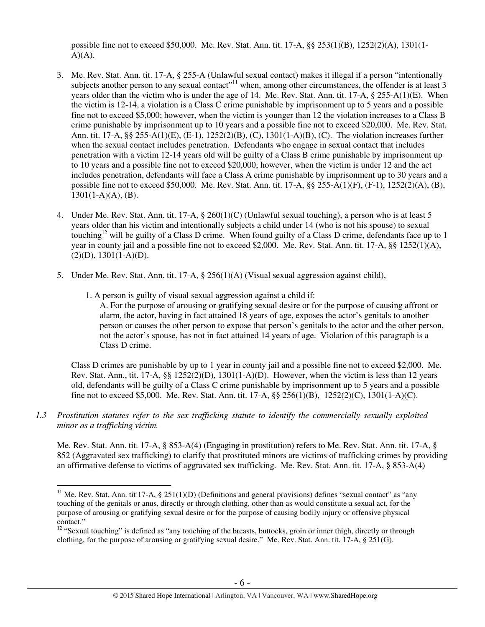possible fine not to exceed \$50,000. Me. Rev. Stat. Ann. tit. 17-A, §§ 253(1)(B), 1252(2)(A), 1301(1-  $A)(A).$ 

- 3. Me. Rev. Stat. Ann. tit. 17-A, § 255-A (Unlawful sexual contact) makes it illegal if a person "intentionally subjects another person to any sexual contact<sup>"11</sup> when, among other circumstances, the offender is at least 3 years older than the victim who is under the age of 14. Me. Rev. Stat. Ann. tit. 17-A, § 255-A(1)(E). When the victim is 12-14, a violation is a Class C crime punishable by imprisonment up to 5 years and a possible fine not to exceed \$5,000; however, when the victim is younger than 12 the violation increases to a Class B crime punishable by imprisonment up to 10 years and a possible fine not to exceed \$20,000. Me. Rev. Stat. Ann. tit. 17-A, §§ 255-A(1)(E), (E-1), 1252(2)(B), (C), 1301(1-A)(B), (C). The violation increases further when the sexual contact includes penetration. Defendants who engage in sexual contact that includes penetration with a victim 12-14 years old will be guilty of a Class B crime punishable by imprisonment up to 10 years and a possible fine not to exceed \$20,000; however, when the victim is under 12 and the act includes penetration, defendants will face a Class A crime punishable by imprisonment up to 30 years and a possible fine not to exceed \$50,000. Me. Rev. Stat. Ann. tit. 17-A, §§ 255-A(1)(F), (F-1), 1252(2)(A), (B),  $1301(1-A)(A)$ , (B).
- 4. Under Me. Rev. Stat. Ann. tit. 17-A, § 260(1)(C) (Unlawful sexual touching), a person who is at least 5 years older than his victim and intentionally subjects a child under 14 (who is not his spouse) to sexual touching<sup>12</sup> will be guilty of a Class D crime. When found guilty of a Class D crime, defendants face up to 1 year in county jail and a possible fine not to exceed \$2,000. Me. Rev. Stat. Ann. tit. 17-A, §§ 1252(1)(A),  $(2)(D), 1301(1-A)(D).$
- 5. Under Me. Rev. Stat. Ann. tit. 17-A, § 256(1)(A) (Visual sexual aggression against child),
	- 1. A person is guilty of visual sexual aggression against a child if:

 $\overline{a}$ 

A. For the purpose of arousing or gratifying sexual desire or for the purpose of causing affront or alarm, the actor, having in fact attained 18 years of age, exposes the actor's genitals to another person or causes the other person to expose that person's genitals to the actor and the other person, not the actor's spouse, has not in fact attained 14 years of age. Violation of this paragraph is a Class D crime.

Class D crimes are punishable by up to 1 year in county jail and a possible fine not to exceed \$2,000. Me. Rev. Stat. Ann., tit.  $17-A$ , §§  $1252(2)(D)$ ,  $1301(1-A)(D)$ . However, when the victim is less than 12 years old, defendants will be guilty of a Class C crime punishable by imprisonment up to 5 years and a possible fine not to exceed \$5,000. Me. Rev. Stat. Ann. tit. 17-A, §§ 256(1)(B), 1252(2)(C), 1301(1-A)(C).

*1.3 Prostitution statutes refer to the sex trafficking statute to identify the commercially sexually exploited minor as a trafficking victim.* 

Me. Rev. Stat. Ann. tit. 17-A, § 853-A(4) (Engaging in prostitution) refers to Me. Rev. Stat. Ann. tit. 17-A, § 852 (Aggravated sex trafficking) to clarify that prostituted minors are victims of trafficking crimes by providing an affirmative defense to victims of aggravated sex trafficking. Me. Rev. Stat. Ann. tit. 17-A, § 853-A(4)

<sup>&</sup>lt;sup>11</sup> Me. Rev. Stat. Ann. tit 17-A, § 251(1)(D) (Definitions and general provisions) defines "sexual contact" as "any touching of the genitals or anus, directly or through clothing, other than as would constitute a sexual act, for the purpose of arousing or gratifying sexual desire or for the purpose of causing bodily injury or offensive physical contact."

<sup>&</sup>lt;sup>12</sup> "Sexual touching" is defined as "any touching of the breasts, buttocks, groin or inner thigh, directly or through clothing, for the purpose of arousing or gratifying sexual desire." Me. Rev. Stat. Ann. tit. 17-A, § 251(G).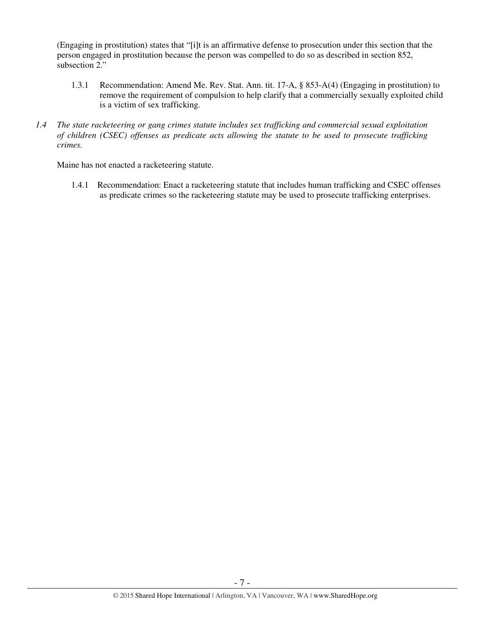(Engaging in prostitution) states that "[i]t is an affirmative defense to prosecution under this section that the person engaged in prostitution because the person was compelled to do so as described in section 852, subsection 2."

- 1.3.1 Recommendation: Amend Me. Rev. Stat. Ann. tit. 17-A, § 853-A(4) (Engaging in prostitution) to remove the requirement of compulsion to help clarify that a commercially sexually exploited child is a victim of sex trafficking.
- *1.4 The state racketeering or gang crimes statute includes sex trafficking and commercial sexual exploitation of children (CSEC) offenses as predicate acts allowing the statute to be used to prosecute trafficking crimes.*

Maine has not enacted a racketeering statute.

1.4.1 Recommendation: Enact a racketeering statute that includes human trafficking and CSEC offenses as predicate crimes so the racketeering statute may be used to prosecute trafficking enterprises.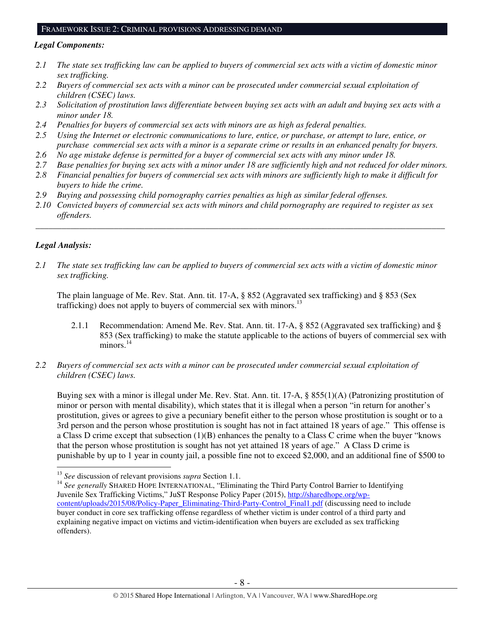#### FRAMEWORK ISSUE 2: CRIMINAL PROVISIONS ADDRESSING DEMAND

#### *Legal Components:*

- *2.1 The state sex trafficking law can be applied to buyers of commercial sex acts with a victim of domestic minor sex trafficking.*
- *2.2 Buyers of commercial sex acts with a minor can be prosecuted under commercial sexual exploitation of children (CSEC) laws.*
- *2.3 Solicitation of prostitution laws differentiate between buying sex acts with an adult and buying sex acts with a minor under 18.*
- *2.4 Penalties for buyers of commercial sex acts with minors are as high as federal penalties.*
- *2.5 Using the Internet or electronic communications to lure, entice, or purchase, or attempt to lure, entice, or purchase commercial sex acts with a minor is a separate crime or results in an enhanced penalty for buyers.*
- *2.6 No age mistake defense is permitted for a buyer of commercial sex acts with any minor under 18.*
- *2.7 Base penalties for buying sex acts with a minor under 18 are sufficiently high and not reduced for older minors.*
- *2.8 Financial penalties for buyers of commercial sex acts with minors are sufficiently high to make it difficult for buyers to hide the crime.*
- *2.9 Buying and possessing child pornography carries penalties as high as similar federal offenses.*
- *2.10 Convicted buyers of commercial sex acts with minors and child pornography are required to register as sex offenders.*

\_\_\_\_\_\_\_\_\_\_\_\_\_\_\_\_\_\_\_\_\_\_\_\_\_\_\_\_\_\_\_\_\_\_\_\_\_\_\_\_\_\_\_\_\_\_\_\_\_\_\_\_\_\_\_\_\_\_\_\_\_\_\_\_\_\_\_\_\_\_\_\_\_\_\_\_\_\_\_\_\_\_\_\_\_\_\_\_\_\_\_\_\_\_

## *Legal Analysis:*

 $\overline{a}$ 

*2.1 The state sex trafficking law can be applied to buyers of commercial sex acts with a victim of domestic minor sex trafficking.* 

The plain language of Me. Rev. Stat. Ann. tit. 17-A, § 852 (Aggravated sex trafficking) and § 853 (Sex trafficking) does not apply to buyers of commercial sex with minors.<sup>13</sup>

- 2.1.1 Recommendation: Amend Me. Rev. Stat. Ann. tit. 17-A, § 852 (Aggravated sex trafficking) and § 853 (Sex trafficking) to make the statute applicable to the actions of buyers of commercial sex with  $minors.<sup>14</sup>$
- *2.2 Buyers of commercial sex acts with a minor can be prosecuted under commercial sexual exploitation of children (CSEC) laws.*

Buying sex with a minor is illegal under Me. Rev. Stat. Ann. tit. 17-A, § 855(1)(A) (Patronizing prostitution of minor or person with mental disability), which states that it is illegal when a person "in return for another's prostitution, gives or agrees to give a pecuniary benefit either to the person whose prostitution is sought or to a 3rd person and the person whose prostitution is sought has not in fact attained 18 years of age." This offense is a Class D crime except that subsection (1)(B) enhances the penalty to a Class C crime when the buyer "knows that the person whose prostitution is sought has not yet attained 18 years of age." A Class D crime is punishable by up to 1 year in county jail, a possible fine not to exceed \$2,000, and an additional fine of \$500 to

<sup>13</sup> *See* discussion of relevant provisions *supra* Section 1.1.

<sup>&</sup>lt;sup>14</sup> See generally SHARED HOPE INTERNATIONAL, "Eliminating the Third Party Control Barrier to Identifying Juvenile Sex Trafficking Victims," JuST Response Policy Paper (2015), http://sharedhope.org/wpcontent/uploads/2015/08/Policy-Paper\_Eliminating-Third-Party-Control\_Final1.pdf (discussing need to include buyer conduct in core sex trafficking offense regardless of whether victim is under control of a third party and explaining negative impact on victims and victim-identification when buyers are excluded as sex trafficking offenders).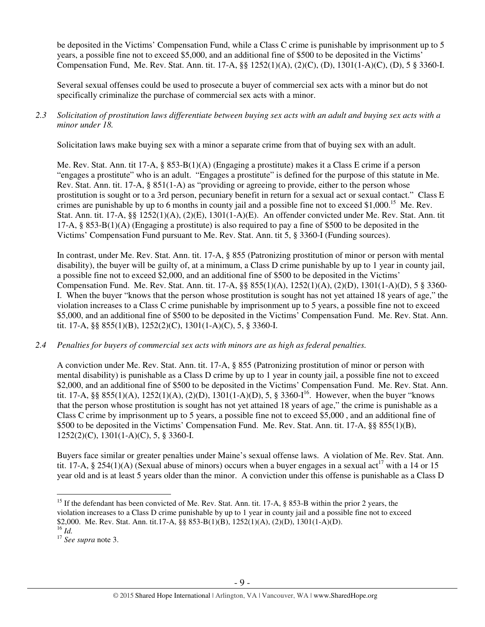be deposited in the Victims' Compensation Fund, while a Class C crime is punishable by imprisonment up to 5 years, a possible fine not to exceed \$5,000, and an additional fine of \$500 to be deposited in the Victims' Compensation Fund, Me. Rev. Stat. Ann. tit. 17-A, §§ 1252(1)(A), (2)(C), (D), 1301(1-A)(C), (D), 5 § 3360-I.

Several sexual offenses could be used to prosecute a buyer of commercial sex acts with a minor but do not specifically criminalize the purchase of commercial sex acts with a minor.

*2.3 Solicitation of prostitution laws differentiate between buying sex acts with an adult and buying sex acts with a minor under 18.* 

Solicitation laws make buying sex with a minor a separate crime from that of buying sex with an adult.

Me. Rev. Stat. Ann. tit 17-A, § 853-B(1)(A) (Engaging a prostitute) makes it a Class E crime if a person "engages a prostitute" who is an adult. "Engages a prostitute" is defined for the purpose of this statute in Me. Rev. Stat. Ann. tit. 17-A, § 851(1-A) as "providing or agreeing to provide, either to the person whose prostitution is sought or to a 3rd person, pecuniary benefit in return for a sexual act or sexual contact." Class E crimes are punishable by up to 6 months in county jail and a possible fine not to exceed \$1,000.<sup>15</sup> Me. Rev. Stat. Ann. tit. 17-A, §§ 1252(1)(A), (2)(E), 1301(1-A)(E). An offender convicted under Me. Rev. Stat. Ann. tit 17-A,  $\S$  853-B(1)(A) (Engaging a prostitute) is also required to pay a fine of \$500 to be deposited in the Victims' Compensation Fund pursuant to Me. Rev. Stat. Ann. tit 5, § 3360-I (Funding sources).

In contrast, under Me. Rev. Stat. Ann. tit. 17-A, § 855 (Patronizing prostitution of minor or person with mental disability), the buyer will be guilty of, at a minimum, a Class D crime punishable by up to 1 year in county jail, a possible fine not to exceed \$2,000, and an additional fine of \$500 to be deposited in the Victims' Compensation Fund. Me. Rev. Stat. Ann. tit. 17-A, §§ 855(1)(A), 1252(1)(A), (2)(D), 1301(1-A)(D), 5 § 3360-I. When the buyer "knows that the person whose prostitution is sought has not yet attained 18 years of age," the violation increases to a Class C crime punishable by imprisonment up to 5 years, a possible fine not to exceed \$5,000, and an additional fine of \$500 to be deposited in the Victims' Compensation Fund. Me. Rev. Stat. Ann. tit. 17-A, §§ 855(1)(B), 1252(2)(C), 1301(1-A)(C), 5, § 3360-I.

*2.4 Penalties for buyers of commercial sex acts with minors are as high as federal penalties.* 

A conviction under Me. Rev. Stat. Ann. tit. 17-A, § 855 (Patronizing prostitution of minor or person with mental disability) is punishable as a Class D crime by up to 1 year in county jail, a possible fine not to exceed \$2,000, and an additional fine of \$500 to be deposited in the Victims' Compensation Fund. Me. Rev. Stat. Ann. tit. 17-A, §§ 855(1)(A), 1252(1)(A), (2)(D), 1301(1-A)(D), 5, § 3360-I<sup>16</sup>. However, when the buyer "knows that the person whose prostitution is sought has not yet attained 18 years of age," the crime is punishable as a Class C crime by imprisonment up to 5 years, a possible fine not to exceed \$5,000 , and an additional fine of \$500 to be deposited in the Victims' Compensation Fund. Me. Rev. Stat. Ann. tit. 17-A, §§ 855(1)(B), 1252(2)(C), 1301(1-A)(C), 5, § 3360-I.

Buyers face similar or greater penalties under Maine's sexual offense laws. A violation of Me. Rev. Stat. Ann. tit. 17-A, § 254(1)(A) (Sexual abuse of minors) occurs when a buyer engages in a sexual act<sup>17</sup> with a 14 or 15 year old and is at least 5 years older than the minor. A conviction under this offense is punishable as a Class D

 $\overline{a}$ <sup>15</sup> If the defendant has been convicted of Me. Rev. Stat. Ann. tit. 17-A, § 853-B within the prior 2 years, the violation increases to a Class D crime punishable by up to 1 year in county jail and a possible fine not to exceed \$2,000. Me. Rev. Stat. Ann. tit.17-A, §§ 853-B(1)(B), 1252(1)(A), (2)(D), 1301(1-A)(D). <sup>16</sup> *Id.*

<sup>17</sup> *See supra* note 3.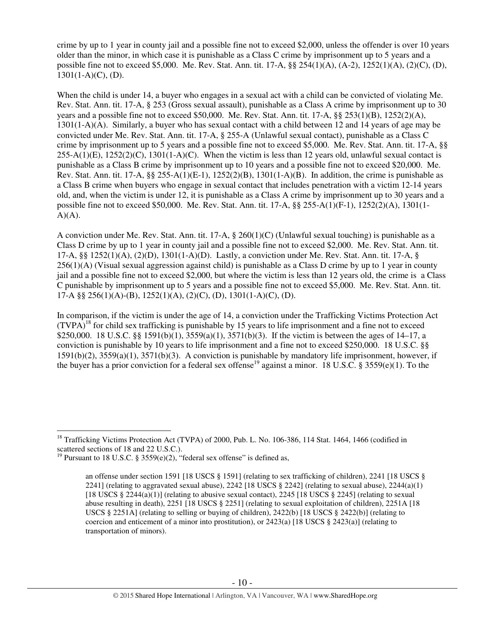crime by up to 1 year in county jail and a possible fine not to exceed \$2,000, unless the offender is over 10 years older than the minor, in which case it is punishable as a Class C crime by imprisonment up to 5 years and a possible fine not to exceed \$5,000. Me. Rev. Stat. Ann. tit. 17-A, §§ 254(1)(A), (A-2), 1252(1)(A), (2)(C), (D),  $1301(1-A)(C)$ , (D).

When the child is under 14, a buyer who engages in a sexual act with a child can be convicted of violating Me. Rev. Stat. Ann. tit. 17-A, § 253 (Gross sexual assault), punishable as a Class A crime by imprisonment up to 30 years and a possible fine not to exceed \$50,000. Me. Rev. Stat. Ann. tit. 17-A, §§ 253(1)(B), 1252(2)(A), 1301(1-A)(A). Similarly, a buyer who has sexual contact with a child between 12 and 14 years of age may be convicted under Me. Rev. Stat. Ann. tit. 17-A, § 255-A (Unlawful sexual contact), punishable as a Class C crime by imprisonment up to 5 years and a possible fine not to exceed \$5,000. Me. Rev. Stat. Ann. tit. 17-A, §§  $255-A(1)(E)$ ,  $1252(2)(C)$ ,  $1301(1-A)(C)$ . When the victim is less than 12 years old, unlawful sexual contact is punishable as a Class B crime by imprisonment up to 10 years and a possible fine not to exceed \$20,000. Me. Rev. Stat. Ann. tit. 17-A,  $\S 255-A(1)(E-1)$ , 1252(2)(B), 1301(1-A)(B). In addition, the crime is punishable as a Class B crime when buyers who engage in sexual contact that includes penetration with a victim 12-14 years old, and, when the victim is under 12, it is punishable as a Class A crime by imprisonment up to 30 years and a possible fine not to exceed \$50,000. Me. Rev. Stat. Ann. tit. 17-A, §§ 255-A(1)(F-1), 1252(2)(A), 1301(1-  $A)(A)$ .

A conviction under Me. Rev. Stat. Ann. tit. 17-A, § 260(1)(C) (Unlawful sexual touching) is punishable as a Class D crime by up to 1 year in county jail and a possible fine not to exceed \$2,000. Me. Rev. Stat. Ann. tit. 17-A, §§ 1252(1)(A), (2)(D), 1301(1-A)(D). Lastly, a conviction under Me. Rev. Stat. Ann. tit. 17-A, § 256(1)(A) (Visual sexual aggression against child) is punishable as a Class D crime by up to 1 year in county jail and a possible fine not to exceed \$2,000, but where the victim is less than 12 years old, the crime is a Class C punishable by imprisonment up to 5 years and a possible fine not to exceed \$5,000. Me. Rev. Stat. Ann. tit. 17-A §§ 256(1)(A)-(B), 1252(1)(A), (2)(C), (D), 1301(1-A)(C), (D).

In comparison, if the victim is under the age of 14, a conviction under the Trafficking Victims Protection Act  $(TVPA)^{18}$  for child sex trafficking is punishable by 15 years to life imprisonment and a fine not to exceed \$250,000. 18 U.S.C. §§ 1591(b)(1), 3559(a)(1), 3571(b)(3). If the victim is between the ages of 14–17, a conviction is punishable by 10 years to life imprisonment and a fine not to exceed \$250,000. 18 U.S.C. §§ 1591(b)(2), 3559(a)(1), 3571(b)(3). A conviction is punishable by mandatory life imprisonment, however, if the buyer has a prior conviction for a federal sex offense<sup>19</sup> against a minor. 18 U.S.C. § 3559(e)(1). To the

 $\overline{a}$ <sup>18</sup> Trafficking Victims Protection Act (TVPA) of 2000, Pub. L. No. 106-386, 114 Stat. 1464, 1466 (codified in scattered sections of 18 and 22 U.S.C.).

<sup>&</sup>lt;sup>19</sup> Pursuant to 18 U.S.C. § 3559(e)(2), "federal sex offense" is defined as,

an offense under section 1591 [18 USCS § 1591] (relating to sex trafficking of children), 2241 [18 USCS § 2241] (relating to aggravated sexual abuse), 2242 [18 USCS  $\S$  2242] (relating to sexual abuse), 2244(a)(1) [18 USCS  $\S$  2244(a)(1)] (relating to abusive sexual contact), 2245 [18 USCS  $\S$  2245] (relating to sexual abuse resulting in death), 2251 [18 USCS § 2251] (relating to sexual exploitation of children), 2251A [18 USCS § 2251A] (relating to selling or buying of children), 2422(b) [18 USCS § 2422(b)] (relating to coercion and enticement of a minor into prostitution), or  $2423(a)$  [18 USCS §  $2423(a)$ ] (relating to transportation of minors).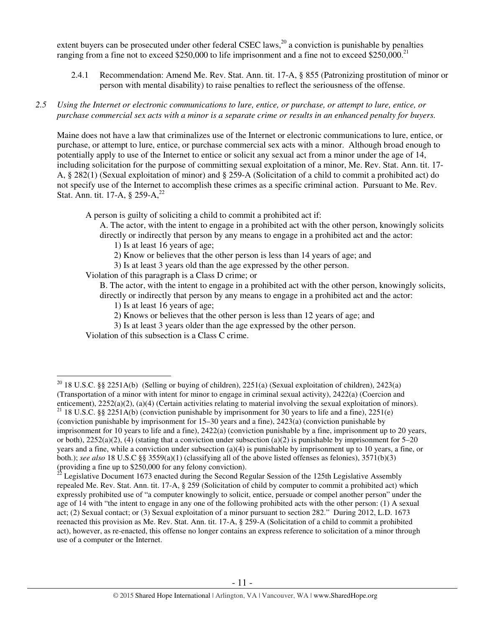extent buyers can be prosecuted under other federal CSEC laws,  $^{20}$  a conviction is punishable by penalties ranging from a fine not to exceed \$250,000 to life imprisonment and a fine not to exceed \$250,000.<sup>21</sup>

- 2.4.1 Recommendation: Amend Me. Rev. Stat. Ann. tit. 17-A, § 855 (Patronizing prostitution of minor or person with mental disability) to raise penalties to reflect the seriousness of the offense.
- *2.5 Using the Internet or electronic communications to lure, entice, or purchase, or attempt to lure, entice, or purchase commercial sex acts with a minor is a separate crime or results in an enhanced penalty for buyers.*

Maine does not have a law that criminalizes use of the Internet or electronic communications to lure, entice, or purchase, or attempt to lure, entice, or purchase commercial sex acts with a minor. Although broad enough to potentially apply to use of the Internet to entice or solicit any sexual act from a minor under the age of 14, including solicitation for the purpose of committing sexual exploitation of a minor, Me. Rev. Stat. Ann. tit. 17- A, § 282(1) (Sexual exploitation of minor) and § 259-A (Solicitation of a child to commit a prohibited act) do not specify use of the Internet to accomplish these crimes as a specific criminal action. Pursuant to Me. Rev. Stat. Ann. tit. 17-A,  $\S 259-A$ ,  $22$ 

A person is guilty of soliciting a child to commit a prohibited act if:

A. The actor, with the intent to engage in a prohibited act with the other person, knowingly solicits directly or indirectly that person by any means to engage in a prohibited act and the actor:

1) Is at least 16 years of age;

- 2) Know or believes that the other person is less than 14 years of age; and
- 3) Is at least 3 years old than the age expressed by the other person.

Violation of this paragraph is a Class D crime; or

B. The actor, with the intent to engage in a prohibited act with the other person, knowingly solicits, directly or indirectly that person by any means to engage in a prohibited act and the actor:

- 1) Is at least 16 years of age;
- 2) Knows or believes that the other person is less than 12 years of age; and
- 3) Is at least 3 years older than the age expressed by the other person.

Violation of this subsection is a Class C crime.

 $\overline{a}$ <sup>20</sup> 18 U.S.C. §§ 2251A(b) (Selling or buying of children), 2251(a) (Sexual exploitation of children), 2423(a) (Transportation of a minor with intent for minor to engage in criminal sexual activity), 2422(a) (Coercion and enticement), 2252(a)(2), (a)(4) (Certain activities relating to material involving the sexual exploitation of minors).

<sup>21 18</sup> U.S.C. §§ 2251A(b) (conviction punishable by imprisonment for 30 years to life and a fine), 2251(e) (conviction punishable by imprisonment for 15–30 years and a fine), 2423(a) (conviction punishable by imprisonment for 10 years to life and a fine), 2422(a) (conviction punishable by a fine, imprisonment up to 20 years, or both),  $2252(a)(2)$ , (4) (stating that a conviction under subsection (a)(2) is punishable by imprisonment for 5–20 years and a fine, while a conviction under subsection (a)(4) is punishable by imprisonment up to 10 years, a fine, or both.); *see also* 18 U.S.C §§ 3559(a)(1) (classifying all of the above listed offenses as felonies), 3571(b)(3) (providing a fine up to \$250,000 for any felony conviction).

<sup>22</sup> Legislative Document 1673 enacted during the Second Regular Session of the 125th Legislative Assembly repealed Me. Rev. Stat. Ann. tit. 17-A, § 259 (Solicitation of child by computer to commit a prohibited act) which expressly prohibited use of "a computer knowingly to solicit, entice, persuade or compel another person" under the age of 14 with "the intent to engage in any one of the following prohibited acts with the other person: (1) A sexual act; (2) Sexual contact; or (3) Sexual exploitation of a minor pursuant to section 282." During 2012, L.D. 1673 reenacted this provision as Me. Rev. Stat. Ann. tit. 17-A, § 259-A (Solicitation of a child to commit a prohibited act), however, as re-enacted, this offense no longer contains an express reference to solicitation of a minor through use of a computer or the Internet.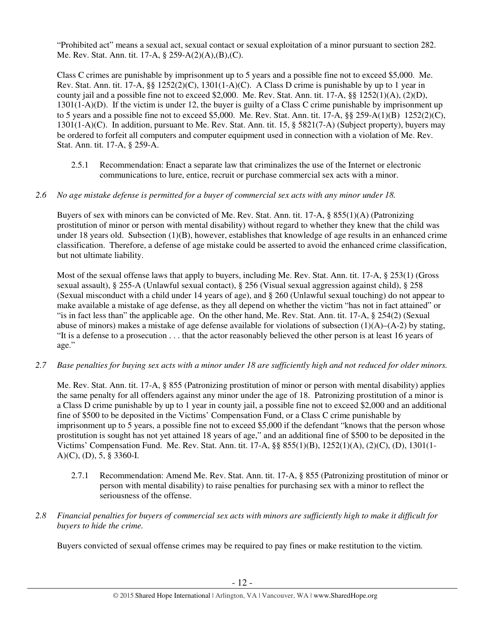"Prohibited act" means a sexual act, sexual contact or sexual exploitation of a minor pursuant to section 282. Me. Rev. Stat. Ann. tit. 17-A, § 259-A(2)(A),(B),(C).

Class C crimes are punishable by imprisonment up to 5 years and a possible fine not to exceed \$5,000. Me. Rev. Stat. Ann. tit. 17-A,  $\S$ § 1252(2)(C), 1301(1-A)(C). A Class D crime is punishable by up to 1 year in county jail and a possible fine not to exceed \$2,000. Me. Rev. Stat. Ann. tit. 17-A, §§ 1252(1)(A), (2)(D), 1301(1-A)(D). If the victim is under 12, the buyer is guilty of a Class C crime punishable by imprisonment up to 5 years and a possible fine not to exceed \$5,000. Me. Rev. Stat. Ann. tit. 17-A,  $\S$ § 259-A(1)(B) 1252(2)(C), 1301(1-A)(C). In addition, pursuant to Me. Rev. Stat. Ann. tit. 15, § 5821(7-A) (Subject property), buyers may be ordered to forfeit all computers and computer equipment used in connection with a violation of Me. Rev. Stat. Ann. tit. 17-A, § 259-A.

2.5.1 Recommendation: Enact a separate law that criminalizes the use of the Internet or electronic communications to lure, entice, recruit or purchase commercial sex acts with a minor.

# *2.6 No age mistake defense is permitted for a buyer of commercial sex acts with any minor under 18.*

Buyers of sex with minors can be convicted of Me. Rev. Stat. Ann. tit. 17-A, § 855(1)(A) (Patronizing prostitution of minor or person with mental disability) without regard to whether they knew that the child was under 18 years old. Subsection (1)(B), however, establishes that knowledge of age results in an enhanced crime classification. Therefore, a defense of age mistake could be asserted to avoid the enhanced crime classification, but not ultimate liability.

Most of the sexual offense laws that apply to buyers, including Me. Rev. Stat. Ann. tit. 17-A, § 253(1) (Gross sexual assault), § 255-A (Unlawful sexual contact), § 256 (Visual sexual aggression against child), § 258 (Sexual misconduct with a child under 14 years of age), and § 260 (Unlawful sexual touching) do not appear to make available a mistake of age defense, as they all depend on whether the victim "has not in fact attained" or "is in fact less than" the applicable age. On the other hand, Me. Rev. Stat. Ann. tit. 17-A, § 254(2) (Sexual abuse of minors) makes a mistake of age defense available for violations of subsection  $(1)(A)$ – $(A-2)$  by stating, "It is a defense to a prosecution . . . that the actor reasonably believed the other person is at least 16 years of age."

*2.7 Base penalties for buying sex acts with a minor under 18 are sufficiently high and not reduced for older minors.* 

Me. Rev. Stat. Ann. tit. 17-A, § 855 (Patronizing prostitution of minor or person with mental disability) applies the same penalty for all offenders against any minor under the age of 18. Patronizing prostitution of a minor is a Class D crime punishable by up to 1 year in county jail, a possible fine not to exceed \$2,000 and an additional fine of \$500 to be deposited in the Victims' Compensation Fund, or a Class C crime punishable by imprisonment up to 5 years, a possible fine not to exceed \$5,000 if the defendant "knows that the person whose prostitution is sought has not yet attained 18 years of age," and an additional fine of \$500 to be deposited in the Victims' Compensation Fund. Me. Rev. Stat. Ann. tit. 17-A, §§ 855(1)(B), 1252(1)(A), (2)(C), (D), 1301(1- A)(C), (D), 5, § 3360-I.

- 2.7.1 Recommendation: Amend Me. Rev. Stat. Ann. tit. 17-A, § 855 (Patronizing prostitution of minor or person with mental disability) to raise penalties for purchasing sex with a minor to reflect the seriousness of the offense.
- *2.8 Financial penalties for buyers of commercial sex acts with minors are sufficiently high to make it difficult for buyers to hide the crime.*

Buyers convicted of sexual offense crimes may be required to pay fines or make restitution to the victim.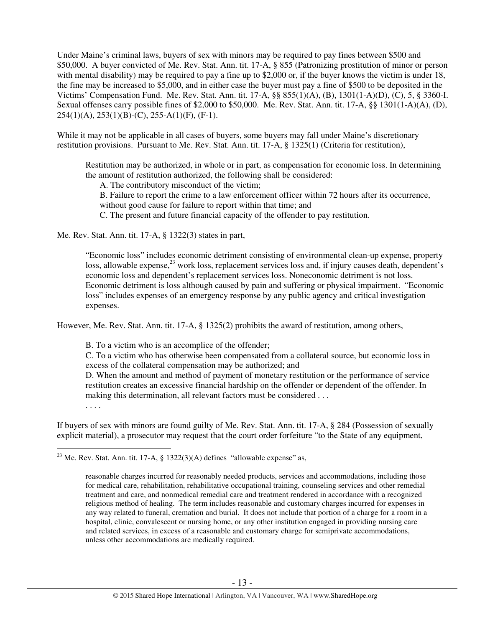Under Maine's criminal laws, buyers of sex with minors may be required to pay fines between \$500 and \$50,000. A buyer convicted of Me. Rev. Stat. Ann. tit. 17-A, § 855 (Patronizing prostitution of minor or person with mental disability) may be required to pay a fine up to \$2,000 or, if the buyer knows the victim is under 18, the fine may be increased to \$5,000, and in either case the buyer must pay a fine of \$500 to be deposited in the Victims' Compensation Fund. Me. Rev. Stat. Ann. tit. 17-A, §§ 855(1)(A), (B), 1301(1-A)(D), (C), 5, § 3360-I. Sexual offenses carry possible fines of \$2,000 to \$50,000. Me. Rev. Stat. Ann. tit. 17-A, §§ 1301(1-A)(A), (D),  $254(1)(A), 253(1)(B)-(C), 255-A(1)(F), (F-1).$ 

While it may not be applicable in all cases of buyers, some buyers may fall under Maine's discretionary restitution provisions. Pursuant to Me. Rev. Stat. Ann. tit. 17-A, § 1325(1) (Criteria for restitution),

Restitution may be authorized, in whole or in part, as compensation for economic loss. In determining the amount of restitution authorized, the following shall be considered:

A. The contributory misconduct of the victim;

B. Failure to report the crime to a law enforcement officer within 72 hours after its occurrence,

without good cause for failure to report within that time; and

C. The present and future financial capacity of the offender to pay restitution.

Me. Rev. Stat. Ann. tit. 17-A, § 1322(3) states in part,

"Economic loss" includes economic detriment consisting of environmental clean-up expense, property loss, allowable expense,<sup>23</sup> work loss, replacement services loss and, if injury causes death, dependent's economic loss and dependent's replacement services loss. Noneconomic detriment is not loss. Economic detriment is loss although caused by pain and suffering or physical impairment. "Economic loss" includes expenses of an emergency response by any public agency and critical investigation expenses.

However, Me. Rev. Stat. Ann. tit. 17-A, § 1325(2) prohibits the award of restitution, among others,

B. To a victim who is an accomplice of the offender;

C. To a victim who has otherwise been compensated from a collateral source, but economic loss in excess of the collateral compensation may be authorized; and

D. When the amount and method of payment of monetary restitution or the performance of service restitution creates an excessive financial hardship on the offender or dependent of the offender. In making this determination, all relevant factors must be considered . . .

. . . .

If buyers of sex with minors are found guilty of Me. Rev. Stat. Ann. tit. 17-A, § 284 (Possession of sexually explicit material), a prosecutor may request that the court order forfeiture "to the State of any equipment,

 $\overline{a}$ <sup>23</sup> Me. Rev. Stat. Ann. tit. 17-A, § 1322(3)(A) defines "allowable expense" as,

reasonable charges incurred for reasonably needed products, services and accommodations, including those for medical care, rehabilitation, rehabilitative occupational training, counseling services and other remedial treatment and care, and nonmedical remedial care and treatment rendered in accordance with a recognized religious method of healing. The term includes reasonable and customary charges incurred for expenses in any way related to funeral, cremation and burial. It does not include that portion of a charge for a room in a hospital, clinic, convalescent or nursing home, or any other institution engaged in providing nursing care and related services, in excess of a reasonable and customary charge for semiprivate accommodations, unless other accommodations are medically required.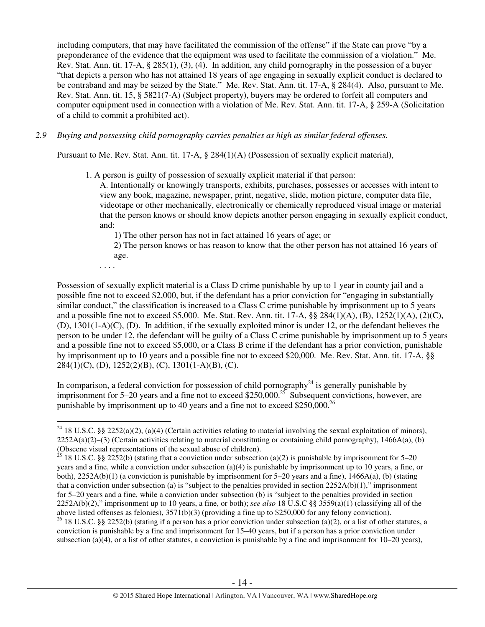including computers, that may have facilitated the commission of the offense" if the State can prove "by a preponderance of the evidence that the equipment was used to facilitate the commission of a violation." Me. Rev. Stat. Ann. tit. 17-A, § 285(1), (3), (4). In addition, any child pornography in the possession of a buyer "that depicts a person who has not attained 18 years of age engaging in sexually explicit conduct is declared to be contraband and may be seized by the State." Me. Rev. Stat. Ann. tit. 17-A, § 284(4). Also, pursuant to Me. Rev. Stat. Ann. tit. 15, § 5821(7-A) (Subject property), buyers may be ordered to forfeit all computers and computer equipment used in connection with a violation of Me. Rev. Stat. Ann. tit. 17-A, § 259-A (Solicitation of a child to commit a prohibited act).

*2.9 Buying and possessing child pornography carries penalties as high as similar federal offenses.* 

Pursuant to Me. Rev. Stat. Ann. tit. 17-A, § 284(1)(A) (Possession of sexually explicit material),

1. A person is guilty of possession of sexually explicit material if that person:

A. Intentionally or knowingly transports, exhibits, purchases, possesses or accesses with intent to view any book, magazine, newspaper, print, negative, slide, motion picture, computer data file, videotape or other mechanically, electronically or chemically reproduced visual image or material that the person knows or should know depicts another person engaging in sexually explicit conduct, and:

1) The other person has not in fact attained 16 years of age; or

2) The person knows or has reason to know that the other person has not attained 16 years of age.

. . . .

Possession of sexually explicit material is a Class D crime punishable by up to 1 year in county jail and a possible fine not to exceed \$2,000, but, if the defendant has a prior conviction for "engaging in substantially similar conduct," the classification is increased to a Class C crime punishable by imprisonment up to 5 years and a possible fine not to exceed \$5,000. Me. Stat. Rev. Ann. tit. 17-A, §§ 284(1)(A), (B), 1252(1)(A), (2)(C), (D), 1301(1-A)(C), (D). In addition, if the sexually exploited minor is under 12, or the defendant believes the person to be under 12, the defendant will be guilty of a Class C crime punishable by imprisonment up to 5 years and a possible fine not to exceed \$5,000, or a Class B crime if the defendant has a prior conviction, punishable by imprisonment up to 10 years and a possible fine not to exceed \$20,000. Me. Rev. Stat. Ann. tit. 17-A, §§ 284(1)(C), (D), 1252(2)(B), (C), 1301(1-A)(B), (C).

In comparison, a federal conviction for possession of child pornography<sup>24</sup> is generally punishable by imprisonment for 5–20 years and a fine not to exceed \$250,000.<sup>25</sup> Subsequent convictions, however, are punishable by imprisonment up to 40 years and a fine not to exceed \$250,000.<sup>26</sup>

 $\overline{a}$ <sup>24</sup> 18 U.S.C. §§ 2252(a)(2), (a)(4) (Certain activities relating to material involving the sexual exploitation of minors),  $2252A(a)(2)$ –(3) (Certain activities relating to material constituting or containing child pornography), 1466A(a), (b) (Obscene visual representations of the sexual abuse of children).

<sup>&</sup>lt;sup>25</sup> 18 U.S.C. §§ 2252(b) (stating that a conviction under subsection (a)(2) is punishable by imprisonment for 5–20 years and a fine, while a conviction under subsection (a)(4) is punishable by imprisonment up to 10 years, a fine, or both),  $2252A(b)(1)$  (a conviction is punishable by imprisonment for 5–20 years and a fine),  $1466A(a)$ , (b) (stating that a conviction under subsection (a) is "subject to the penalties provided in section  $2252A(b)(1)$ ," imprisonment for 5–20 years and a fine, while a conviction under subsection (b) is "subject to the penalties provided in section 2252A(b)(2)," imprisonment up to 10 years, a fine, or both); *see also* 18 U.S.C §§ 3559(a)(1) (classifying all of the above listed offenses as felonies), 3571(b)(3) (providing a fine up to \$250,000 for any felony conviction).

<sup>&</sup>lt;sup>26</sup> 18 U.S.C. §§ 2252(b) (stating if a person has a prior conviction under subsection (a)(2), or a list of other statutes, a conviction is punishable by a fine and imprisonment for 15–40 years, but if a person has a prior conviction under subsection (a)(4), or a list of other statutes, a conviction is punishable by a fine and imprisonment for  $10-20$  years),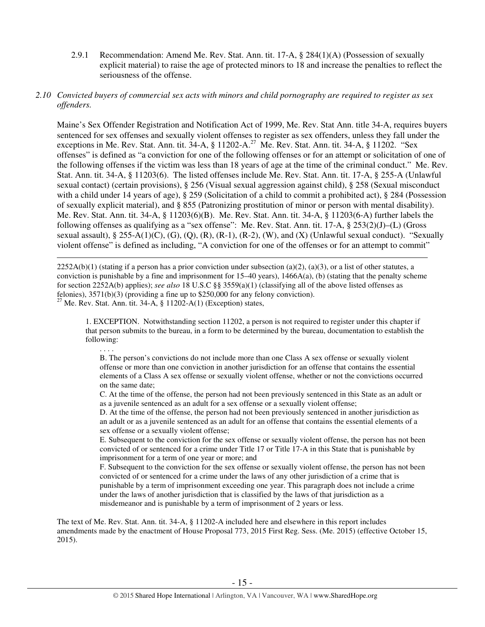2.9.1 Recommendation: Amend Me. Rev. Stat. Ann. tit. 17-A, § 284(1)(A) (Possession of sexually explicit material) to raise the age of protected minors to 18 and increase the penalties to reflect the seriousness of the offense.

# *2.10 Convicted buyers of commercial sex acts with minors and child pornography are required to register as sex offenders.*

Maine's Sex Offender Registration and Notification Act of 1999, Me. Rev. Stat Ann. title 34-A, requires buyers sentenced for sex offenses and sexually violent offenses to register as sex offenders, unless they fall under the exceptions in Me. Rev. Stat. Ann. tit. 34-A, § 11202-A.<sup>27</sup> Me. Rev. Stat. Ann. tit. 34-A, § 11202. "Sex offenses" is defined as "a conviction for one of the following offenses or for an attempt or solicitation of one of the following offenses if the victim was less than 18 years of age at the time of the criminal conduct." Me. Rev. Stat. Ann. tit. 34-A, § 11203(6). The listed offenses include Me. Rev. Stat. Ann. tit. 17-A, § 255-A (Unlawful sexual contact) (certain provisions), § 256 (Visual sexual aggression against child), § 258 (Sexual misconduct with a child under 14 years of age), § 259 (Solicitation of a child to commit a prohibited act), § 284 (Possession of sexually explicit material), and § 855 (Patronizing prostitution of minor or person with mental disability). Me. Rev. Stat. Ann. tit. 34-A, § 11203(6)(B). Me. Rev. Stat. Ann. tit. 34-A, § 11203(6-A) further labels the following offenses as qualifying as a "sex offense": Me. Rev. Stat. Ann. tit. 17-A, § 253(2)(J)–(L) (Gross sexual assault), § 255-A(1)(C), (G), (Q), (R), (R-1), (R-2), (W), and (X) (Unlawful sexual conduct). "Sexually violent offense" is defined as including, "A conviction for one of the offenses or for an attempt to commit"

 $\overline{a}$  $2252A(b)(1)$  (stating if a person has a prior conviction under subsection (a)(2), (a)(3), or a list of other statutes, a conviction is punishable by a fine and imprisonment for  $15-40$  years),  $1466A(a)$ , (b) (stating that the penalty scheme for section 2252A(b) applies); *see also* 18 U.S.C §§ 3559(a)(1) (classifying all of the above listed offenses as felonies), 3571(b)(3) (providing a fine up to \$250,000 for any felony conviction). <sup>27</sup> Me. Rev. Stat. Ann. tit. 34-A, § 11202-A(1) (Exception) states,

1. EXCEPTION. Notwithstanding section 11202, a person is not required to register under this chapter if that person submits to the bureau, in a form to be determined by the bureau, documentation to establish the following:

. . . . B. The person's convictions do not include more than one Class A sex offense or sexually violent offense or more than one conviction in another jurisdiction for an offense that contains the essential elements of a Class A sex offense or sexually violent offense, whether or not the convictions occurred on the same date;

C. At the time of the offense, the person had not been previously sentenced in this State as an adult or as a juvenile sentenced as an adult for a sex offense or a sexually violent offense;

D. At the time of the offense, the person had not been previously sentenced in another jurisdiction as an adult or as a juvenile sentenced as an adult for an offense that contains the essential elements of a sex offense or a sexually violent offense;

E. Subsequent to the conviction for the sex offense or sexually violent offense, the person has not been convicted of or sentenced for a crime under Title 17 or Title 17-A in this State that is punishable by imprisonment for a term of one year or more; and

F. Subsequent to the conviction for the sex offense or sexually violent offense, the person has not been convicted of or sentenced for a crime under the laws of any other jurisdiction of a crime that is punishable by a term of imprisonment exceeding one year. This paragraph does not include a crime under the laws of another jurisdiction that is classified by the laws of that jurisdiction as a misdemeanor and is punishable by a term of imprisonment of 2 years or less.

The text of Me. Rev. Stat. Ann. tit. 34-A, § 11202-A included here and elsewhere in this report includes amendments made by the enactment of House Proposal 773, 2015 First Reg. Sess. (Me. 2015) (effective October 15, 2015).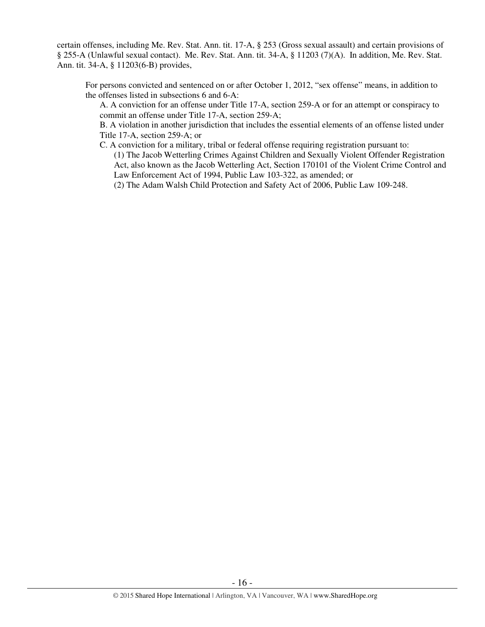certain offenses, including Me. Rev. Stat. Ann. tit. 17-A, § 253 (Gross sexual assault) and certain provisions of § 255-A (Unlawful sexual contact). Me. Rev. Stat. Ann. tit. 34-A, § 11203 (7)(A). In addition, Me. Rev. Stat. Ann. tit. 34-A, § 11203(6-B) provides,

For persons convicted and sentenced on or after October 1, 2012, "sex offense" means, in addition to the offenses listed in subsections 6 and 6-A:

A. A conviction for an offense under Title 17-A, section 259-A or for an attempt or conspiracy to commit an offense under Title 17-A, section 259-A;

B. A violation in another jurisdiction that includes the essential elements of an offense listed under Title 17-A, section 259-A; or

- C. A conviction for a military, tribal or federal offense requiring registration pursuant to:
	- (1) The Jacob Wetterling Crimes Against Children and Sexually Violent Offender Registration Act, also known as the Jacob Wetterling Act, Section 170101 of the Violent Crime Control and Law Enforcement Act of 1994, Public Law 103-322, as amended; or

(2) The Adam Walsh Child Protection and Safety Act of 2006, Public Law 109-248.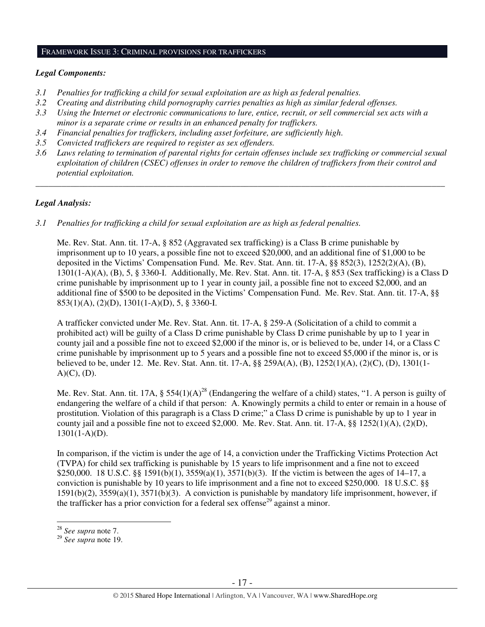## FRAMEWORK ISSUE 3: CRIMINAL PROVISIONS FOR TRAFFICKERS

## *Legal Components:*

- *3.1 Penalties for trafficking a child for sexual exploitation are as high as federal penalties.*
- *3.2 Creating and distributing child pornography carries penalties as high as similar federal offenses.*
- *3.3 Using the Internet or electronic communications to lure, entice, recruit, or sell commercial sex acts with a minor is a separate crime or results in an enhanced penalty for traffickers.*
- *3.4 Financial penalties for traffickers, including asset forfeiture, are sufficiently high*.
- *3.5 Convicted traffickers are required to register as sex offenders.*
- *3.6 Laws relating to termination of parental rights for certain offenses include sex trafficking or commercial sexual exploitation of children (CSEC) offenses in order to remove the children of traffickers from their control and potential exploitation.*

*\_\_\_\_\_\_\_\_\_\_\_\_\_\_\_\_\_\_\_\_\_\_\_\_\_\_\_\_\_\_\_\_\_\_\_\_\_\_\_\_\_\_\_\_\_\_\_\_\_\_\_\_\_\_\_\_\_\_\_\_\_\_\_\_\_\_\_\_\_\_\_\_\_\_\_\_\_\_\_\_\_\_\_\_\_\_\_\_\_\_\_\_\_\_* 

# *Legal Analysis:*

*3.1 Penalties for trafficking a child for sexual exploitation are as high as federal penalties.* 

Me. Rev. Stat. Ann. tit. 17-A, § 852 (Aggravated sex trafficking) is a Class B crime punishable by imprisonment up to 10 years, a possible fine not to exceed \$20,000, and an additional fine of \$1,000 to be deposited in the Victims' Compensation Fund. Me. Rev. Stat. Ann. tit. 17-A, §§ 852(3), 1252(2)(A), (B), 1301(1-A)(A), (B), 5, § 3360-I. Additionally, Me. Rev. Stat. Ann. tit. 17-A, § 853 (Sex trafficking) is a Class D crime punishable by imprisonment up to 1 year in county jail, a possible fine not to exceed \$2,000, and an additional fine of \$500 to be deposited in the Victims' Compensation Fund. Me. Rev. Stat. Ann. tit. 17-A, §§ 853(1)(A), (2)(D), 1301(1-A)(D), 5, § 3360-I.

A trafficker convicted under Me. Rev. Stat. Ann. tit. 17-A, § 259-A (Solicitation of a child to commit a prohibited act) will be guilty of a Class D crime punishable by Class D crime punishable by up to 1 year in county jail and a possible fine not to exceed \$2,000 if the minor is, or is believed to be, under 14, or a Class C crime punishable by imprisonment up to 5 years and a possible fine not to exceed \$5,000 if the minor is, or is believed to be, under 12. Me. Rev. Stat. Ann. tit. 17-A, §§ 259A(A), (B), 1252(1)(A), (2)(C), (D), 1301(1-  $A)(C)$ ,  $(D)$ .

Me. Rev. Stat. Ann. tit. 17A,  $\S 554(1)(A)^{28}$  (Endangering the welfare of a child) states, "1. A person is guilty of endangering the welfare of a child if that person: A. Knowingly permits a child to enter or remain in a house of prostitution. Violation of this paragraph is a Class D crime;" a Class D crime is punishable by up to 1 year in county jail and a possible fine not to exceed \$2,000. Me. Rev. Stat. Ann. tit.  $17-A$ ,  $\S$ §  $1252(1)(A)$ ,  $(2)(D)$ ,  $1301(1-A)(D)$ .

In comparison, if the victim is under the age of 14, a conviction under the Trafficking Victims Protection Act (TVPA) for child sex trafficking is punishable by 15 years to life imprisonment and a fine not to exceed \$250,000. 18 U.S.C. §§ 1591(b)(1), 3559(a)(1), 3571(b)(3). If the victim is between the ages of 14–17, a conviction is punishable by 10 years to life imprisonment and a fine not to exceed \$250,000. 18 U.S.C. §§ 1591(b)(2), 3559(a)(1), 3571(b)(3). A conviction is punishable by mandatory life imprisonment, however, if the trafficker has a prior conviction for a federal sex offense<sup>29</sup> against a minor.

 $\overline{a}$ 

<sup>28</sup> *See supra* note 7.

<sup>29</sup> *See supra* note 19.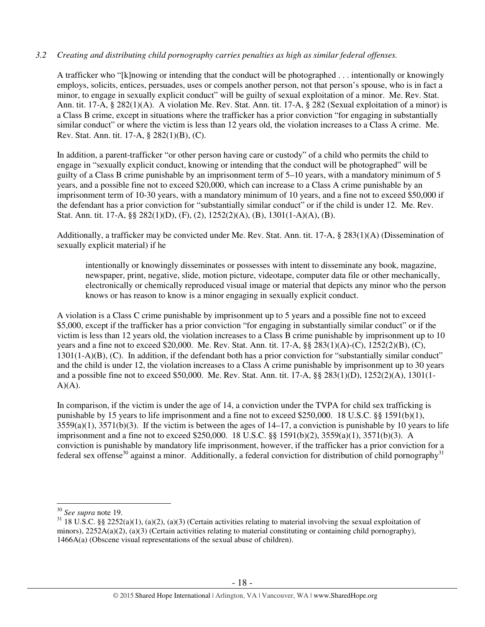# *3.2 Creating and distributing child pornography carries penalties as high as similar federal offenses.*

A trafficker who "[k]nowing or intending that the conduct will be photographed . . . intentionally or knowingly employs, solicits, entices, persuades, uses or compels another person, not that person's spouse, who is in fact a minor, to engage in sexually explicit conduct" will be guilty of sexual exploitation of a minor. Me. Rev. Stat. Ann. tit. 17-A, § 282(1)(A). A violation Me. Rev. Stat. Ann. tit. 17-A, § 282 (Sexual exploitation of a minor) is a Class B crime, except in situations where the trafficker has a prior conviction "for engaging in substantially similar conduct" or where the victim is less than 12 years old, the violation increases to a Class A crime. Me. Rev. Stat. Ann. tit. 17-A, § 282(1)(B), (C).

In addition, a parent-trafficker "or other person having care or custody" of a child who permits the child to engage in "sexually explicit conduct, knowing or intending that the conduct will be photographed" will be guilty of a Class B crime punishable by an imprisonment term of 5–10 years, with a mandatory minimum of 5 years, and a possible fine not to exceed \$20,000, which can increase to a Class A crime punishable by an imprisonment term of 10-30 years, with a mandatory minimum of 10 years, and a fine not to exceed \$50,000 if the defendant has a prior conviction for "substantially similar conduct" or if the child is under 12. Me. Rev. Stat. Ann. tit. 17-A, §§ 282(1)(D), (F), (2), 1252(2)(A), (B), 1301(1-A)(A), (B).

Additionally, a trafficker may be convicted under Me. Rev. Stat. Ann. tit. 17-A, § 283(1)(A) (Dissemination of sexually explicit material) if he

intentionally or knowingly disseminates or possesses with intent to disseminate any book, magazine, newspaper, print, negative, slide, motion picture, videotape, computer data file or other mechanically, electronically or chemically reproduced visual image or material that depicts any minor who the person knows or has reason to know is a minor engaging in sexually explicit conduct.

A violation is a Class C crime punishable by imprisonment up to 5 years and a possible fine not to exceed \$5,000, except if the trafficker has a prior conviction "for engaging in substantially similar conduct" or if the victim is less than 12 years old, the violation increases to a Class B crime punishable by imprisonment up to 10 years and a fine not to exceed \$20,000. Me. Rev. Stat. Ann. tit. 17-A, §§ 283(1)(A)-(C), 1252(2)(B), (C), 1301(1-A)(B), (C). In addition, if the defendant both has a prior conviction for "substantially similar conduct" and the child is under 12, the violation increases to a Class A crime punishable by imprisonment up to 30 years and a possible fine not to exceed \$50,000. Me. Rev. Stat. Ann. tit. 17-A, §§ 283(1)(D), 1252(2)(A), 1301(1-  $A)(A)$ .

In comparison, if the victim is under the age of 14, a conviction under the TVPA for child sex trafficking is punishable by 15 years to life imprisonment and a fine not to exceed \$250,000. 18 U.S.C. §§ 1591(b)(1),  $3559(a)(1)$ ,  $3571(b)(3)$ . If the victim is between the ages of  $14-17$ , a conviction is punishable by 10 years to life imprisonment and a fine not to exceed \$250,000. 18 U.S.C. §§ 1591(b)(2), 3559(a)(1), 3571(b)(3). A conviction is punishable by mandatory life imprisonment, however, if the trafficker has a prior conviction for a federal sex offense<sup>30</sup> against a minor. Additionally, a federal conviction for distribution of child pornography<sup>31</sup>

 $\overline{a}$ 

<sup>30</sup> *See supra* note 19.

 $31\,18$  U.S.C. §§ 2252(a)(1), (a)(2), (a)(3) (Certain activities relating to material involving the sexual exploitation of minors),  $2252A(a)(2)$ ,  $(a)(3)$  (Certain activities relating to material constituting or containing child pornography), 1466A(a) (Obscene visual representations of the sexual abuse of children).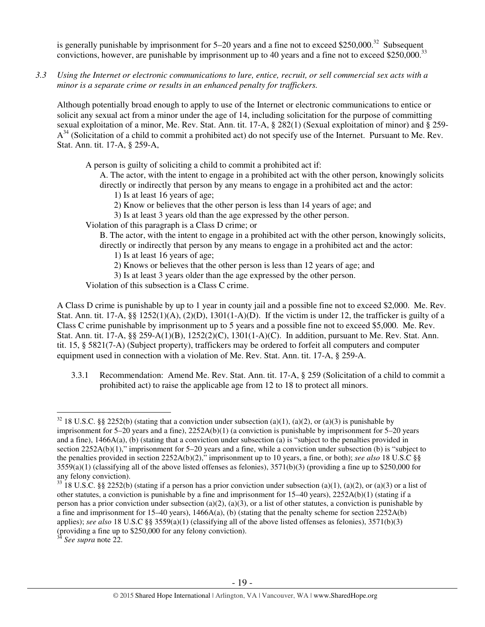is generally punishable by imprisonment for  $5-20$  years and a fine not to exceed \$250,000.<sup>32</sup> Subsequent convictions, however, are punishable by imprisonment up to 40 years and a fine not to exceed \$250,000.<sup>33</sup>

*3.3 Using the Internet or electronic communications to lure, entice, recruit, or sell commercial sex acts with a minor is a separate crime or results in an enhanced penalty for traffickers.* 

Although potentially broad enough to apply to use of the Internet or electronic communications to entice or solicit any sexual act from a minor under the age of 14, including solicitation for the purpose of committing sexual exploitation of a minor, Me. Rev. Stat. Ann. tit. 17-A, § 282(1) (Sexual exploitation of minor) and § 259-  $A^{34}$  (Solicitation of a child to commit a prohibited act) do not specify use of the Internet. Pursuant to Me. Rev. Stat. Ann. tit. 17-A, § 259-A,

A person is guilty of soliciting a child to commit a prohibited act if:

A. The actor, with the intent to engage in a prohibited act with the other person, knowingly solicits directly or indirectly that person by any means to engage in a prohibited act and the actor:

- 1) Is at least 16 years of age;
- 2) Know or believes that the other person is less than 14 years of age; and
- 3) Is at least 3 years old than the age expressed by the other person.

Violation of this paragraph is a Class D crime; or

B. The actor, with the intent to engage in a prohibited act with the other person, knowingly solicits, directly or indirectly that person by any means to engage in a prohibited act and the actor:

- 1) Is at least 16 years of age;
- 2) Knows or believes that the other person is less than 12 years of age; and

3) Is at least 3 years older than the age expressed by the other person.

Violation of this subsection is a Class C crime.

A Class D crime is punishable by up to 1 year in county jail and a possible fine not to exceed \$2,000. Me. Rev. Stat. Ann. tit. 17-A,  $\S$ § 1252(1)(A), (2)(D), 1301(1-A)(D). If the victim is under 12, the trafficker is guilty of a Class C crime punishable by imprisonment up to 5 years and a possible fine not to exceed \$5,000. Me. Rev. Stat. Ann. tit. 17-A, §§ 259-A(1)(B), 1252(2)(C), 1301(1-A)(C). In addition, pursuant to Me. Rev. Stat. Ann. tit. 15, § 5821(7-A) (Subject property), traffickers may be ordered to forfeit all computers and computer equipment used in connection with a violation of Me. Rev. Stat. Ann. tit. 17-A, § 259-A.

3.3.1 Recommendation: Amend Me. Rev. Stat. Ann. tit. 17-A, § 259 (Solicitation of a child to commit a prohibited act) to raise the applicable age from 12 to 18 to protect all minors.

 $\overline{a}$ <sup>32</sup> 18 U.S.C. §§ 2252(b) (stating that a conviction under subsection (a)(1), (a)(2), or (a)(3) is punishable by imprisonment for 5–20 years and a fine), 2252A(b)(1) (a conviction is punishable by imprisonment for 5–20 years and a fine), 1466A(a), (b) (stating that a conviction under subsection (a) is "subject to the penalties provided in section 2252A(b)(1)," imprisonment for 5–20 years and a fine, while a conviction under subsection (b) is "subject to the penalties provided in section 2252A(b)(2)," imprisonment up to 10 years, a fine, or both); *see also* 18 U.S.C §§  $3559(a)(1)$  (classifying all of the above listed offenses as felonies),  $3571(b)(3)$  (providing a fine up to \$250,000 for any felony conviction).

 $33\overline{18}$  U.S.C. §§ 2252(b) (stating if a person has a prior conviction under subsection (a)(1), (a)(2), or (a)(3) or a list of other statutes, a conviction is punishable by a fine and imprisonment for  $15-40$  years),  $2252A(b)(1)$  (stating if a person has a prior conviction under subsection (a)(2), (a)(3), or a list of other statutes, a conviction is punishable by a fine and imprisonment for  $15-40$  years),  $1466A(a)$ , (b) (stating that the penalty scheme for section  $2252A(b)$ applies); *see also* 18 U.S.C §§ 3559(a)(1) (classifying all of the above listed offenses as felonies), 3571(b)(3) (providing a fine up to \$250,000 for any felony conviction).

<sup>34</sup> *See supra* note 22.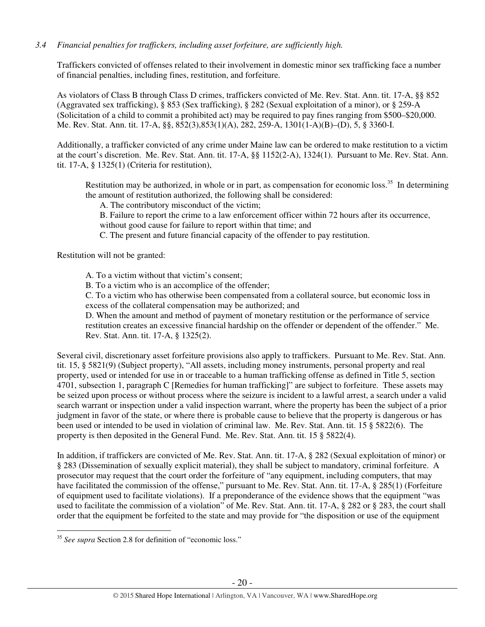# *3.4 Financial penalties for traffickers, including asset forfeiture, are sufficiently high.*

Traffickers convicted of offenses related to their involvement in domestic minor sex trafficking face a number of financial penalties, including fines, restitution, and forfeiture.

As violators of Class B through Class D crimes, traffickers convicted of Me. Rev. Stat. Ann. tit. 17-A, §§ 852 (Aggravated sex trafficking), § 853 (Sex trafficking), § 282 (Sexual exploitation of a minor), or § 259-A (Solicitation of a child to commit a prohibited act) may be required to pay fines ranging from \$500–\$20,000. Me. Rev. Stat. Ann. tit. 17-A, §§, 852(3),853(1)(A), 282, 259-A, 1301(1-A)(B)–(D), 5, § 3360-I.

Additionally, a trafficker convicted of any crime under Maine law can be ordered to make restitution to a victim at the court's discretion. Me. Rev. Stat. Ann. tit. 17-A, §§ 1152(2-A), 1324(1). Pursuant to Me. Rev. Stat. Ann. tit. 17-A, § 1325(1) (Criteria for restitution),

Restitution may be authorized, in whole or in part, as compensation for economic loss.<sup>35</sup> In determining the amount of restitution authorized, the following shall be considered:

A. The contributory misconduct of the victim;

B. Failure to report the crime to a law enforcement officer within 72 hours after its occurrence, without good cause for failure to report within that time; and

C. The present and future financial capacity of the offender to pay restitution.

Restitution will not be granted:

A. To a victim without that victim's consent;

B. To a victim who is an accomplice of the offender;

C. To a victim who has otherwise been compensated from a collateral source, but economic loss in excess of the collateral compensation may be authorized; and

D. When the amount and method of payment of monetary restitution or the performance of service restitution creates an excessive financial hardship on the offender or dependent of the offender." Me. Rev. Stat. Ann. tit. 17-A, § 1325(2).

Several civil, discretionary asset forfeiture provisions also apply to traffickers. Pursuant to Me. Rev. Stat. Ann. tit. 15, § 5821(9) (Subject property), "All assets, including money instruments, personal property and real property, used or intended for use in or traceable to a human trafficking offense as defined in Title 5, section 4701, subsection 1, paragraph C [Remedies for human trafficking]" are subject to forfeiture. These assets may be seized upon process or without process where the seizure is incident to a lawful arrest, a search under a valid search warrant or inspection under a valid inspection warrant, where the property has been the subject of a prior judgment in favor of the state, or where there is probable cause to believe that the property is dangerous or has been used or intended to be used in violation of criminal law. Me. Rev. Stat. Ann. tit. 15 § 5822(6). The property is then deposited in the General Fund. Me. Rev. Stat. Ann. tit. 15 § 5822(4).

In addition, if traffickers are convicted of Me. Rev. Stat. Ann. tit. 17-A, § 282 (Sexual exploitation of minor) or § 283 (Dissemination of sexually explicit material), they shall be subject to mandatory, criminal forfeiture. A prosecutor may request that the court order the forfeiture of "any equipment, including computers, that may have facilitated the commission of the offense," pursuant to Me. Rev. Stat. Ann. tit. 17-A, § 285(1) (Forfeiture of equipment used to facilitate violations). If a preponderance of the evidence shows that the equipment "was used to facilitate the commission of a violation" of Me. Rev. Stat. Ann. tit. 17-A, § 282 or § 283, the court shall order that the equipment be forfeited to the state and may provide for "the disposition or use of the equipment

 $\overline{a}$ <sup>35</sup> *See supra* Section 2.8 for definition of "economic loss."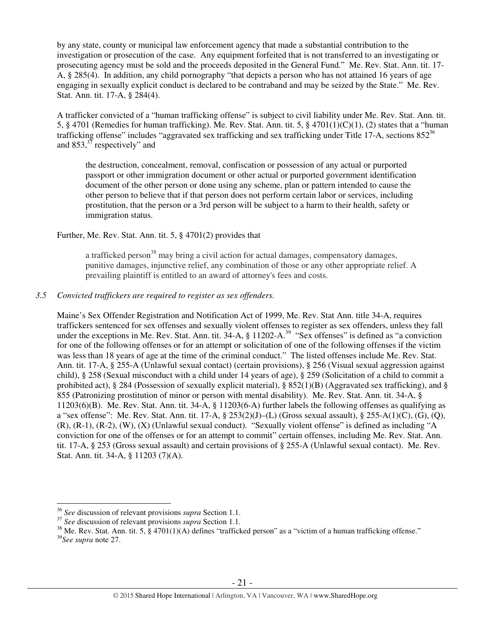by any state, county or municipal law enforcement agency that made a substantial contribution to the investigation or prosecution of the case. Any equipment forfeited that is not transferred to an investigating or prosecuting agency must be sold and the proceeds deposited in the General Fund." Me. Rev. Stat. Ann. tit. 17- A, § 285(4). In addition, any child pornography "that depicts a person who has not attained 16 years of age engaging in sexually explicit conduct is declared to be contraband and may be seized by the State." Me. Rev. Stat. Ann. tit. 17-A, § 284(4).

A trafficker convicted of a "human trafficking offense" is subject to civil liability under Me. Rev. Stat. Ann. tit. 5, § 4701 (Remedies for human trafficking). Me. Rev. Stat. Ann. tit. 5, § 4701(1)(C)(1), (2) states that a "human trafficking offense" includes "aggravated sex trafficking and sex trafficking under Title 17-A, sections  $852^{36}$ and  $853<sup>37</sup>$  respectively" and

the destruction, concealment, removal, confiscation or possession of any actual or purported passport or other immigration document or other actual or purported government identification document of the other person or done using any scheme, plan or pattern intended to cause the other person to believe that if that person does not perform certain labor or services, including prostitution, that the person or a 3rd person will be subject to a harm to their health, safety or immigration status.

# Further, Me. Rev. Stat. Ann. tit. 5, § 4701(2) provides that

a trafficked person<sup>38</sup> may bring a civil action for actual damages, compensatory damages, punitive damages, injunctive relief, any combination of those or any other appropriate relief. A prevailing plaintiff is entitled to an award of attorney's fees and costs.

# *3.5 Convicted traffickers are required to register as sex offenders.*

Maine's Sex Offender Registration and Notification Act of 1999, Me. Rev. Stat Ann. title 34-A, requires traffickers sentenced for sex offenses and sexually violent offenses to register as sex offenders, unless they fall under the exceptions in Me. Rev. Stat. Ann. tit. 34-A, § 11202-A.<sup>39</sup> "Sex offenses" is defined as "a conviction for one of the following offenses or for an attempt or solicitation of one of the following offenses if the victim was less than 18 years of age at the time of the criminal conduct." The listed offenses include Me. Rev. Stat. Ann. tit. 17-A, § 255-A (Unlawful sexual contact) (certain provisions), § 256 (Visual sexual aggression against child), § 258 (Sexual misconduct with a child under 14 years of age), § 259 (Solicitation of a child to commit a prohibited act), § 284 (Possession of sexually explicit material), § 852(1)(B) (Aggravated sex trafficking), and § 855 (Patronizing prostitution of minor or person with mental disability). Me. Rev. Stat. Ann. tit. 34-A, § 11203(6)(B). Me. Rev. Stat. Ann. tit. 34-A, § 11203(6-A) further labels the following offenses as qualifying as a "sex offense": Me. Rev. Stat. Ann. tit. 17-A,  $\S 253(2)(J)$ –(L) (Gross sexual assault),  $\S 255$ –A(1)(C), (G), (O), (R), (R-1), (R-2), (W), (X) (Unlawful sexual conduct). "Sexually violent offense" is defined as including "A conviction for one of the offenses or for an attempt to commit" certain offenses, including Me. Rev. Stat. Ann. tit. 17-A, § 253 (Gross sexual assault) and certain provisions of § 255-A (Unlawful sexual contact). Me. Rev. Stat. Ann. tit. 34-A, § 11203 (7)(A).

 $\overline{a}$ 

<sup>36</sup> *See* discussion of relevant provisions *supra* Section 1.1.

<sup>37</sup> *See* discussion of relevant provisions *supra* Section 1.1*.*

<sup>&</sup>lt;sup>38</sup> Me. Rev. Stat. Ann. tit. 5, § 4701(1)(A) defines "trafficked person" as a "victim of a human trafficking offense."

<sup>39</sup>*See supra* note 27.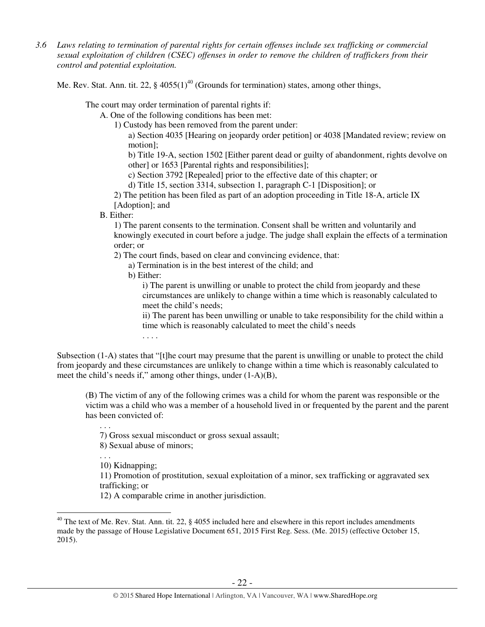*3.6 Laws relating to termination of parental rights for certain offenses include sex trafficking or commercial sexual exploitation of children (CSEC) offenses in order to remove the children of traffickers from their control and potential exploitation.* 

Me. Rev. Stat. Ann. tit. 22,  $\S$  4055(1)<sup>40</sup> (Grounds for termination) states, among other things,

The court may order termination of parental rights if:

A. One of the following conditions has been met:

1) Custody has been removed from the parent under:

a) Section 4035 [Hearing on jeopardy order petition] or 4038 [Mandated review; review on motion];

b) Title 19-A, section 1502 [Either parent dead or guilty of abandonment, rights devolve on other] or 1653 [Parental rights and responsibilities];

c) Section 3792 [Repealed] prior to the effective date of this chapter; or

d) Title 15, section 3314, subsection 1, paragraph C-1 [Disposition]; or

2) The petition has been filed as part of an adoption proceeding in Title 18-A, article IX [Adoption]; and

B. Either:

1) The parent consents to the termination. Consent shall be written and voluntarily and knowingly executed in court before a judge. The judge shall explain the effects of a termination order; or

2) The court finds, based on clear and convincing evidence, that:

a) Termination is in the best interest of the child; and

b) Either:

i) The parent is unwilling or unable to protect the child from jeopardy and these circumstances are unlikely to change within a time which is reasonably calculated to meet the child's needs;

ii) The parent has been unwilling or unable to take responsibility for the child within a time which is reasonably calculated to meet the child's needs

. . . .

Subsection (1-A) states that "[t]he court may presume that the parent is unwilling or unable to protect the child from jeopardy and these circumstances are unlikely to change within a time which is reasonably calculated to meet the child's needs if," among other things, under (1-A)(B),

(B) The victim of any of the following crimes was a child for whom the parent was responsible or the victim was a child who was a member of a household lived in or frequented by the parent and the parent has been convicted of:

. . . 7) Gross sexual misconduct or gross sexual assault;

8) Sexual abuse of minors;

10) Kidnapping;

. . .

 $\overline{a}$ 

11) Promotion of prostitution, sexual exploitation of a minor, sex trafficking or aggravated sex trafficking; or

12) A comparable crime in another jurisdiction.

<sup>&</sup>lt;sup>40</sup> The text of Me. Rev. Stat. Ann. tit. 22,  $\S$  4055 included here and elsewhere in this report includes amendments made by the passage of House Legislative Document 651, 2015 First Reg. Sess. (Me. 2015) (effective October 15, 2015).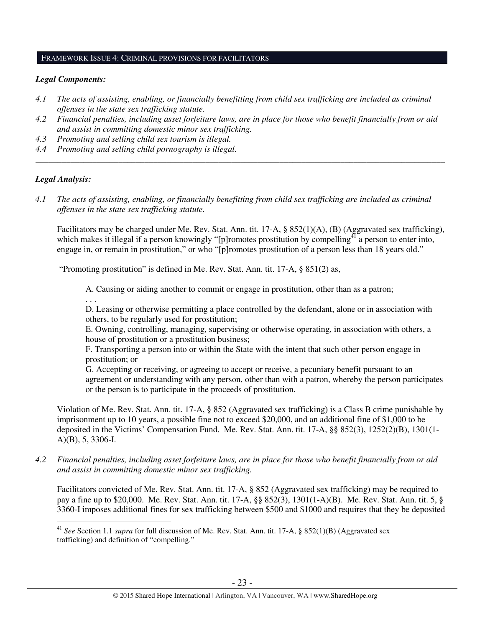#### FRAMEWORK ISSUE 4: CRIMINAL PROVISIONS FOR FACILITATORS

## *Legal Components:*

- *4.1 The acts of assisting, enabling, or financially benefitting from child sex trafficking are included as criminal offenses in the state sex trafficking statute.*
- *4.2 Financial penalties, including asset forfeiture laws, are in place for those who benefit financially from or aid and assist in committing domestic minor sex trafficking.*

*\_\_\_\_\_\_\_\_\_\_\_\_\_\_\_\_\_\_\_\_\_\_\_\_\_\_\_\_\_\_\_\_\_\_\_\_\_\_\_\_\_\_\_\_\_\_\_\_\_\_\_\_\_\_\_\_\_\_\_\_\_\_\_\_\_\_\_\_\_\_\_\_\_\_\_\_\_\_\_\_\_\_\_\_\_\_\_\_\_\_\_\_\_\_* 

- *4.3 Promoting and selling child sex tourism is illegal.*
- *4.4 Promoting and selling child pornography is illegal.*

## *Legal Analysis:*

 $\overline{a}$ 

*4.1 The acts of assisting, enabling, or financially benefitting from child sex trafficking are included as criminal offenses in the state sex trafficking statute.*

Facilitators may be charged under Me. Rev. Stat. Ann. tit. 17-A, § 852(1)(A), (B) (Aggravated sex trafficking), which makes it illegal if a person knowingly "[p]romotes prostitution by compelling<sup>41</sup> a person to enter into, engage in, or remain in prostitution," or who "[p]romotes prostitution of a person less than 18 years old."

"Promoting prostitution" is defined in Me. Rev. Stat. Ann. tit. 17-A, § 851(2) as,

A. Causing or aiding another to commit or engage in prostitution, other than as a patron;

. . . D. Leasing or otherwise permitting a place controlled by the defendant, alone or in association with others, to be regularly used for prostitution;

E. Owning, controlling, managing, supervising or otherwise operating, in association with others, a house of prostitution or a prostitution business;

F. Transporting a person into or within the State with the intent that such other person engage in prostitution; or

G. Accepting or receiving, or agreeing to accept or receive, a pecuniary benefit pursuant to an agreement or understanding with any person, other than with a patron, whereby the person participates or the person is to participate in the proceeds of prostitution.

Violation of Me. Rev. Stat. Ann. tit. 17-A, § 852 (Aggravated sex trafficking) is a Class B crime punishable by imprisonment up to 10 years, a possible fine not to exceed \$20,000, and an additional fine of \$1,000 to be deposited in the Victims' Compensation Fund. Me. Rev. Stat. Ann. tit. 17-A, §§ 852(3), 1252(2)(B), 1301(1- A)(B), 5, 3306-I.

*4.2 Financial penalties, including asset forfeiture laws, are in place for those who benefit financially from or aid and assist in committing domestic minor sex trafficking.* 

Facilitators convicted of Me. Rev. Stat. Ann. tit. 17-A, § 852 (Aggravated sex trafficking) may be required to pay a fine up to \$20,000. Me. Rev. Stat. Ann. tit. 17-A, §§ 852(3), 1301(1-A)(B). Me. Rev. Stat. Ann. tit. 5, § 3360-I imposes additional fines for sex trafficking between \$500 and \$1000 and requires that they be deposited

<sup>41</sup> *See* Section 1.1 *supra* for full discussion of Me. Rev. Stat. Ann. tit. 17-A, § 852(1)(B) (Aggravated sex trafficking) and definition of "compelling."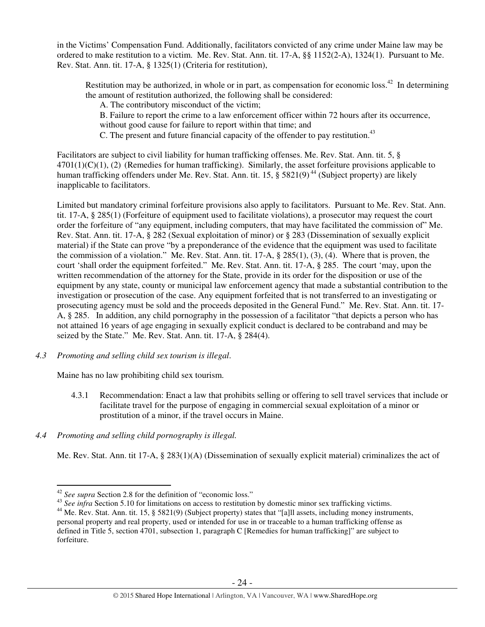in the Victims' Compensation Fund. Additionally, facilitators convicted of any crime under Maine law may be ordered to make restitution to a victim. Me. Rev. Stat. Ann. tit. 17-A, §§ 1152(2-A), 1324(1). Pursuant to Me. Rev. Stat. Ann. tit. 17-A, § 1325(1) (Criteria for restitution),

Restitution may be authorized, in whole or in part, as compensation for economic loss.<sup>42</sup> In determining the amount of restitution authorized, the following shall be considered:

A. The contributory misconduct of the victim;

B. Failure to report the crime to a law enforcement officer within 72 hours after its occurrence,

without good cause for failure to report within that time; and

C. The present and future financial capacity of the offender to pay restitution.<sup>43</sup>

Facilitators are subject to civil liability for human trafficking offenses. Me. Rev. Stat. Ann. tit. 5, §  $4701(1)(C)(1)$ , (2) (Remedies for human trafficking). Similarly, the asset for feiture provisions applicable to human trafficking offenders under Me. Rev. Stat. Ann. tit. 15,  $\S 5821(9)^{44}$  (Subject property) are likely inapplicable to facilitators.

Limited but mandatory criminal forfeiture provisions also apply to facilitators. Pursuant to Me. Rev. Stat. Ann. tit. 17-A, § 285(1) (Forfeiture of equipment used to facilitate violations), a prosecutor may request the court order the forfeiture of "any equipment, including computers, that may have facilitated the commission of" Me. Rev. Stat. Ann. tit. 17-A, § 282 (Sexual exploitation of minor) or § 283 (Dissemination of sexually explicit material) if the State can prove "by a preponderance of the evidence that the equipment was used to facilitate the commission of a violation." Me. Rev. Stat. Ann. tit. 17-A, § 285(1), (3), (4). Where that is proven, the court 'shall order the equipment forfeited." Me. Rev. Stat. Ann. tit. 17-A, § 285. The court 'may, upon the written recommendation of the attorney for the State, provide in its order for the disposition or use of the equipment by any state, county or municipal law enforcement agency that made a substantial contribution to the investigation or prosecution of the case. Any equipment forfeited that is not transferred to an investigating or prosecuting agency must be sold and the proceeds deposited in the General Fund." Me. Rev. Stat. Ann. tit. 17- A, § 285. In addition, any child pornography in the possession of a facilitator "that depicts a person who has not attained 16 years of age engaging in sexually explicit conduct is declared to be contraband and may be seized by the State." Me. Rev. Stat. Ann. tit. 17-A, § 284(4).

# *4.3 Promoting and selling child sex tourism is illegal*.

Maine has no law prohibiting child sex tourism.

4.3.1 Recommendation: Enact a law that prohibits selling or offering to sell travel services that include or facilitate travel for the purpose of engaging in commercial sexual exploitation of a minor or prostitution of a minor, if the travel occurs in Maine.

# *4.4 Promoting and selling child pornography is illegal.*

Me. Rev. Stat. Ann. tit 17-A, § 283(1)(A) (Dissemination of sexually explicit material) criminalizes the act of

 $\overline{a}$ <sup>42</sup> *See supra* Section 2.8 for the definition of "economic loss."

<sup>&</sup>lt;sup>43</sup> See infra Section 5.10 for limitations on access to restitution by domestic minor sex trafficking victims.

<sup>&</sup>lt;sup>44</sup> Me. Rev. Stat. Ann. tit. 15, § 5821(9) (Subject property) states that "[a]ll assets, including money instruments, personal property and real property, used or intended for use in or traceable to a human trafficking offense as defined in Title 5, section 4701, subsection 1, paragraph C [Remedies for human trafficking]" are subject to forfeiture.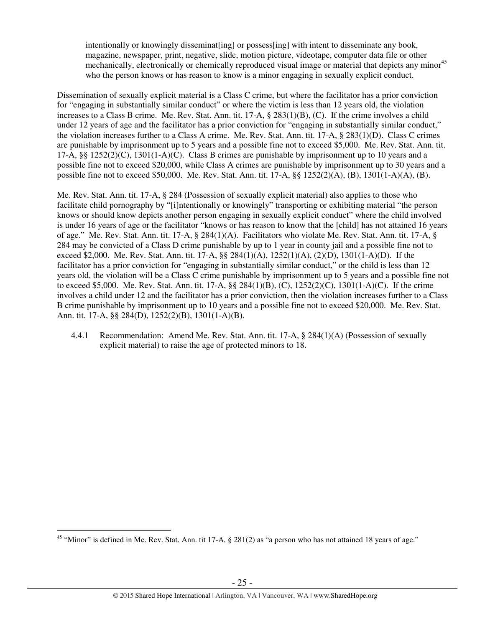intentionally or knowingly disseminat [ing] or possess [ing] with intent to disseminate any book, magazine, newspaper, print, negative, slide, motion picture, videotape, computer data file or other mechanically, electronically or chemically reproduced visual image or material that depicts any minor<sup>45</sup> who the person knows or has reason to know is a minor engaging in sexually explicit conduct.

Dissemination of sexually explicit material is a Class C crime, but where the facilitator has a prior conviction for "engaging in substantially similar conduct" or where the victim is less than 12 years old, the violation increases to a Class B crime. Me. Rev. Stat. Ann. tit. 17-A, § 283(1)(B), (C). If the crime involves a child under 12 years of age and the facilitator has a prior conviction for "engaging in substantially similar conduct," the violation increases further to a Class A crime. Me. Rev. Stat. Ann. tit. 17-A, § 283(1)(D). Class C crimes are punishable by imprisonment up to 5 years and a possible fine not to exceed \$5,000. Me. Rev. Stat. Ann. tit. 17-A, §§ 1252(2)(C), 1301(1-A)(C). Class B crimes are punishable by imprisonment up to 10 years and a possible fine not to exceed \$20,000, while Class A crimes are punishable by imprisonment up to 30 years and a possible fine not to exceed \$50,000. Me. Rev. Stat. Ann. tit. 17-A, §§ 1252(2)(A), (B), 1301(1-A)(A), (B).

Me. Rev. Stat. Ann. tit. 17-A, § 284 (Possession of sexually explicit material) also applies to those who facilitate child pornography by "[i]ntentionally or knowingly" transporting or exhibiting material "the person knows or should know depicts another person engaging in sexually explicit conduct" where the child involved is under 16 years of age or the facilitator "knows or has reason to know that the [child] has not attained 16 years of age." Me. Rev. Stat. Ann. tit. 17-A, § 284(1)(A). Facilitators who violate Me. Rev. Stat. Ann. tit. 17-A, § 284 may be convicted of a Class D crime punishable by up to 1 year in county jail and a possible fine not to exceed \$2,000. Me. Rev. Stat. Ann. tit. 17-A, §§ 284(1)(A), 1252(1)(A), (2)(D), 1301(1-A)(D). If the facilitator has a prior conviction for "engaging in substantially similar conduct," or the child is less than 12 years old, the violation will be a Class C crime punishable by imprisonment up to 5 years and a possible fine not to exceed \$5,000. Me. Rev. Stat. Ann. tit. 17-A, §§ 284(1)(B), (C), 1252(2)(C), 1301(1-A)(C). If the crime involves a child under 12 and the facilitator has a prior conviction, then the violation increases further to a Class B crime punishable by imprisonment up to 10 years and a possible fine not to exceed \$20,000. Me. Rev. Stat. Ann. tit. 17-A, §§ 284(D), 1252(2)(B), 1301(1-A)(B).

4.4.1 Recommendation: Amend Me. Rev. Stat. Ann. tit. 17-A, § 284(1)(A) (Possession of sexually explicit material) to raise the age of protected minors to 18.

 $\overline{a}$ 

<sup>&</sup>lt;sup>45</sup> "Minor" is defined in Me. Rev. Stat. Ann. tit 17-A,  $\S$  281(2) as "a person who has not attained 18 years of age."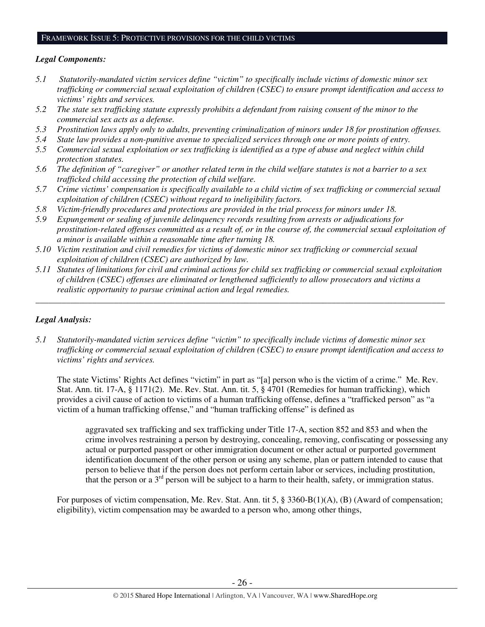#### FRAMEWORK ISSUE 5: PROTECTIVE PROVISIONS FOR THE CHILD VICTIMS

# *Legal Components:*

- *5.1 Statutorily-mandated victim services define "victim" to specifically include victims of domestic minor sex trafficking or commercial sexual exploitation of children (CSEC) to ensure prompt identification and access to victims' rights and services.*
- *5.2 The state sex trafficking statute expressly prohibits a defendant from raising consent of the minor to the commercial sex acts as a defense.*
- *5.3 Prostitution laws apply only to adults, preventing criminalization of minors under 18 for prostitution offenses.*
- *5.4 State law provides a non-punitive avenue to specialized services through one or more points of entry.*
- *5.5 Commercial sexual exploitation or sex trafficking is identified as a type of abuse and neglect within child protection statutes.*
- *5.6 The definition of "caregiver" or another related term in the child welfare statutes is not a barrier to a sex trafficked child accessing the protection of child welfare.*
- *5.7 Crime victims' compensation is specifically available to a child victim of sex trafficking or commercial sexual exploitation of children (CSEC) without regard to ineligibility factors.*
- *5.8 Victim-friendly procedures and protections are provided in the trial process for minors under 18.*
- *5.9 Expungement or sealing of juvenile delinquency records resulting from arrests or adjudications for prostitution-related offenses committed as a result of, or in the course of, the commercial sexual exploitation of a minor is available within a reasonable time after turning 18.*
- *5.10 Victim restitution and civil remedies for victims of domestic minor sex trafficking or commercial sexual exploitation of children (CSEC) are authorized by law.*
- *5.11 Statutes of limitations for civil and criminal actions for child sex trafficking or commercial sexual exploitation of children (CSEC) offenses are eliminated or lengthened sufficiently to allow prosecutors and victims a realistic opportunity to pursue criminal action and legal remedies.*

*\_\_\_\_\_\_\_\_\_\_\_\_\_\_\_\_\_\_\_\_\_\_\_\_\_\_\_\_\_\_\_\_\_\_\_\_\_\_\_\_\_\_\_\_\_\_\_\_\_\_\_\_\_\_\_\_\_\_\_\_\_\_\_\_\_\_\_\_\_\_\_\_\_\_\_\_\_\_\_\_\_\_\_\_\_\_\_\_\_\_\_\_\_\_* 

# *Legal Analysis:*

*5.1 Statutorily-mandated victim services define "victim" to specifically include victims of domestic minor sex trafficking or commercial sexual exploitation of children (CSEC) to ensure prompt identification and access to victims' rights and services.* 

The state Victims' Rights Act defines "victim" in part as "[a] person who is the victim of a crime." Me. Rev. Stat. Ann. tit. 17-A, § 1171(2). Me. Rev. Stat. Ann. tit. 5, § 4701 (Remedies for human trafficking), which provides a civil cause of action to victims of a human trafficking offense, defines a "trafficked person" as "a victim of a human trafficking offense," and "human trafficking offense" is defined as

aggravated sex trafficking and sex trafficking under Title 17-A, section 852 and 853 and when the crime involves restraining a person by destroying, concealing, removing, confiscating or possessing any actual or purported passport or other immigration document or other actual or purported government identification document of the other person or using any scheme, plan or pattern intended to cause that person to believe that if the person does not perform certain labor or services, including prostitution, that the person or a  $3<sup>rd</sup>$  person will be subject to a harm to their health, safety, or immigration status.

For purposes of victim compensation, Me. Rev. Stat. Ann. tit 5, § 3360-B(1)(A), (B) (Award of compensation; eligibility), victim compensation may be awarded to a person who, among other things,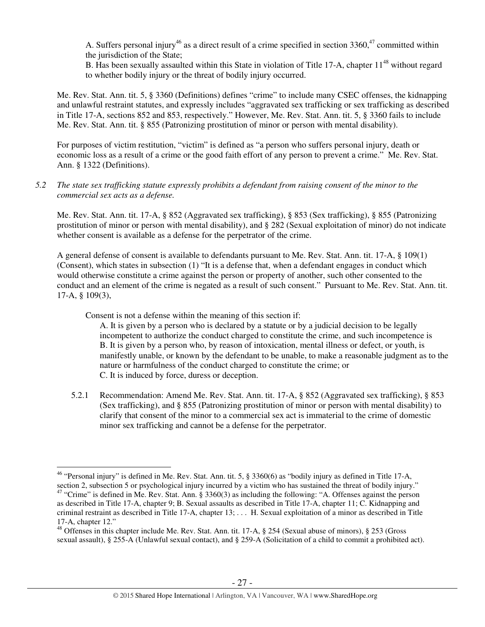A. Suffers personal injury<sup>46</sup> as a direct result of a crime specified in section 3360,<sup>47</sup> committed within the jurisdiction of the State;

B. Has been sexually assaulted within this State in violation of Title 17-A, chapter  $11^{48}$  without regard to whether bodily injury or the threat of bodily injury occurred.

Me. Rev. Stat. Ann. tit. 5, § 3360 (Definitions) defines "crime" to include many CSEC offenses, the kidnapping and unlawful restraint statutes, and expressly includes "aggravated sex trafficking or sex trafficking as described in Title 17-A, sections 852 and 853, respectively." However, Me. Rev. Stat. Ann. tit. 5, § 3360 fails to include Me. Rev. Stat. Ann. tit. § 855 (Patronizing prostitution of minor or person with mental disability).

For purposes of victim restitution, "victim" is defined as "a person who suffers personal injury, death or economic loss as a result of a crime or the good faith effort of any person to prevent a crime." Me. Rev. Stat. Ann. § 1322 (Definitions).

*5.2 The state sex trafficking statute expressly prohibits a defendant from raising consent of the minor to the commercial sex acts as a defense.* 

Me. Rev. Stat. Ann. tit. 17-A, § 852 (Aggravated sex trafficking), § 853 (Sex trafficking), § 855 (Patronizing prostitution of minor or person with mental disability), and § 282 (Sexual exploitation of minor) do not indicate whether consent is available as a defense for the perpetrator of the crime.

A general defense of consent is available to defendants pursuant to Me. Rev. Stat. Ann. tit. 17-A, § 109(1) (Consent), which states in subsection (1) "It is a defense that, when a defendant engages in conduct which would otherwise constitute a crime against the person or property of another, such other consented to the conduct and an element of the crime is negated as a result of such consent." Pursuant to Me. Rev. Stat. Ann. tit. 17-A, § 109(3),

Consent is not a defense within the meaning of this section if:

 $\overline{a}$ 

A. It is given by a person who is declared by a statute or by a judicial decision to be legally incompetent to authorize the conduct charged to constitute the crime, and such incompetence is B. It is given by a person who, by reason of intoxication, mental illness or defect, or youth, is manifestly unable, or known by the defendant to be unable, to make a reasonable judgment as to the nature or harmfulness of the conduct charged to constitute the crime; or C. It is induced by force, duress or deception.

5.2.1 Recommendation: Amend Me. Rev. Stat. Ann. tit. 17-A, § 852 (Aggravated sex trafficking), § 853 (Sex trafficking), and § 855 (Patronizing prostitution of minor or person with mental disability) to clarify that consent of the minor to a commercial sex act is immaterial to the crime of domestic minor sex trafficking and cannot be a defense for the perpetrator.

<sup>&</sup>lt;sup>46</sup> "Personal injury" is defined in Me. Rev. Stat. Ann. tit. 5,  $\S 3360(6)$  as "bodily injury as defined in Title 17-A, section 2, subsection 5 or psychological injury incurred by a victim who has sustained the threat of bodily injury." <sup>47</sup> "Crime" is defined in Me. Rev. Stat. Ann. § 3360(3) as including the following: "A. Offenses against the person as described in Title 17-A, chapter 9; B. Sexual assaults as described in Title 17-A, chapter 11; C. Kidnapping and criminal restraint as described in Title 17-A, chapter 13; . . . H. Sexual exploitation of a minor as described in Title 17-A, chapter 12."

<sup>48</sup> Offenses in this chapter include Me. Rev. Stat. Ann. tit. 17-A, § 254 (Sexual abuse of minors), § 253 (Gross sexual assault), § 255-A (Unlawful sexual contact), and § 259-A (Solicitation of a child to commit a prohibited act).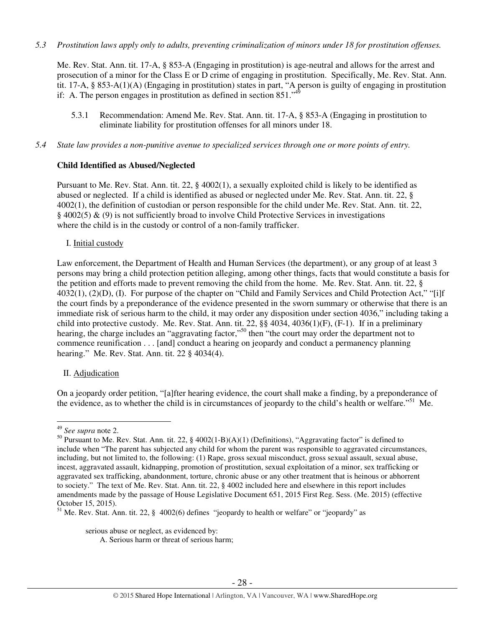*5.3 Prostitution laws apply only to adults, preventing criminalization of minors under 18 for prostitution offenses.* 

Me. Rev. Stat. Ann. tit. 17-A, § 853-A (Engaging in prostitution) is age-neutral and allows for the arrest and prosecution of a minor for the Class E or D crime of engaging in prostitution. Specifically, Me. Rev. Stat. Ann. tit. 17-A, § 853-A(1)(A) (Engaging in prostitution) states in part, "A person is guilty of engaging in prostitution if: A. The person engages in prostitution as defined in section  $851$ .<sup> $\frac{4}{3}$ </sup>

- 5.3.1 Recommendation: Amend Me. Rev. Stat. Ann. tit. 17-A, § 853-A (Engaging in prostitution to eliminate liability for prostitution offenses for all minors under 18.
- *5.4 State law provides a non-punitive avenue to specialized services through one or more points of entry.*

# **Child Identified as Abused/Neglected**

Pursuant to Me. Rev. Stat. Ann. tit. 22, § 4002(1), a sexually exploited child is likely to be identified as abused or neglected. If a child is identified as abused or neglected under Me. Rev. Stat. Ann. tit. 22, § 4002(1), the definition of custodian or person responsible for the child under Me. Rev. Stat. Ann. tit. 22, § 4002(5) & (9) is not sufficiently broad to involve Child Protective Services in investigations where the child is in the custody or control of a non-family trafficker.

## I. Initial custody

Law enforcement, the Department of Health and Human Services (the department), or any group of at least 3 persons may bring a child protection petition alleging, among other things, facts that would constitute a basis for the petition and efforts made to prevent removing the child from the home. Me. Rev. Stat. Ann. tit. 22, § 4032(1), (2)(D), (I). For purpose of the chapter on "Child and Family Services and Child Protection Act," "[i]f the court finds by a preponderance of the evidence presented in the sworn summary or otherwise that there is an immediate risk of serious harm to the child, it may order any disposition under section 4036," including taking a child into protective custody. Me. Rev. Stat. Ann. tit. 22, §§ 4034, 4036(1)(F), (F-1). If in a preliminary hearing, the charge includes an "aggravating factor,"<sup>50</sup> then "the court may order the department not to commence reunification . . . [and] conduct a hearing on jeopardy and conduct a permanency planning hearing." Me. Rev. Stat. Ann. tit. 22 § 4034(4).

# II. Adjudication

On a jeopardy order petition, "[a]fter hearing evidence, the court shall make a finding, by a preponderance of the evidence, as to whether the child is in circumstances of jeopardy to the child's health or welfare."<sup>51</sup> Me.

 $\overline{a}$ 

serious abuse or neglect, as evidenced by:

A. Serious harm or threat of serious harm;

<sup>49</sup> *See supra* note 2.

<sup>&</sup>lt;sup>50</sup> Pursuant to Me. Rev. Stat. Ann. tit. 22, § 4002(1-B)(A)(1) (Definitions), "Aggravating factor" is defined to include when "The parent has subjected any child for whom the parent was responsible to aggravated circumstances, including, but not limited to, the following: (1) Rape, gross sexual misconduct, gross sexual assault, sexual abuse, incest, aggravated assault, kidnapping, promotion of prostitution, sexual exploitation of a minor, sex trafficking or aggravated sex trafficking, abandonment, torture, chronic abuse or any other treatment that is heinous or abhorrent to society." The text of Me. Rev. Stat. Ann. tit. 22, § 4002 included here and elsewhere in this report includes amendments made by the passage of House Legislative Document 651, 2015 First Reg. Sess. (Me. 2015) (effective October 15, 2015).

<sup>&</sup>lt;sup>51</sup> Me. Rev. Stat. Ann. tit. 22, § 4002(6) defines "jeopardy to health or welfare" or "jeopardy" as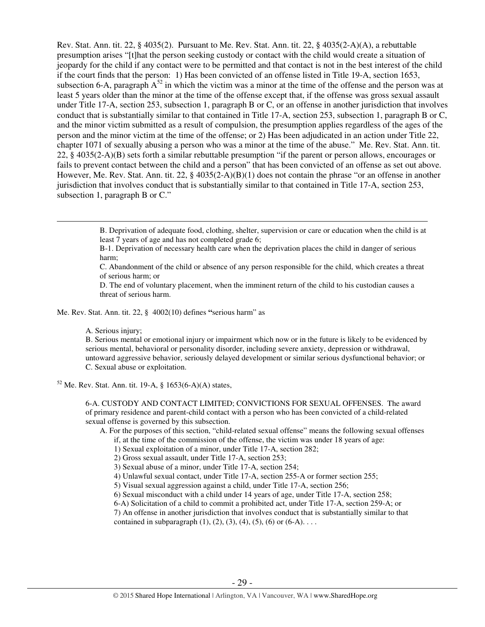Rev. Stat. Ann. tit. 22, § 4035(2). Pursuant to Me. Rev. Stat. Ann. tit. 22, § 4035(2-A)(A), a rebuttable presumption arises "[t]hat the person seeking custody or contact with the child would create a situation of jeopardy for the child if any contact were to be permitted and that contact is not in the best interest of the child if the court finds that the person: 1) Has been convicted of an offense listed in Title 19-A, section 1653, subsection 6-A, paragraph  $A^{52}$  in which the victim was a minor at the time of the offense and the person was at least 5 years older than the minor at the time of the offense except that, if the offense was gross sexual assault under Title 17-A, section 253, subsection 1, paragraph B or C, or an offense in another jurisdiction that involves conduct that is substantially similar to that contained in Title 17-A, section 253, subsection 1, paragraph B or C, and the minor victim submitted as a result of compulsion, the presumption applies regardless of the ages of the person and the minor victim at the time of the offense; or 2) Has been adjudicated in an action under Title 22, chapter 1071 of sexually abusing a person who was a minor at the time of the abuse." Me. Rev. Stat. Ann. tit. 22, § 4035(2-A)(B) sets forth a similar rebuttable presumption "if the parent or person allows, encourages or fails to prevent contact between the child and a person" that has been convicted of an offense as set out above. However, Me. Rev. Stat. Ann. tit. 22, § 4035(2-A)(B)(1) does not contain the phrase "or an offense in another jurisdiction that involves conduct that is substantially similar to that contained in Title 17-A, section 253, subsection 1, paragraph B or C."

> B. Deprivation of adequate food, clothing, shelter, supervision or care or education when the child is at least 7 years of age and has not completed grade 6;

B-1. Deprivation of necessary health care when the deprivation places the child in danger of serious harm;

C. Abandonment of the child or absence of any person responsible for the child, which creates a threat of serious harm; or

D. The end of voluntary placement, when the imminent return of the child to his custodian causes a threat of serious harm.

Me. Rev. Stat. Ann. tit. 22, § 4002(10) defines **"**serious harm" as

A. Serious injury;

 $\overline{a}$ 

B. Serious mental or emotional injury or impairment which now or in the future is likely to be evidenced by serious mental, behavioral or personality disorder, including severe anxiety, depression or withdrawal, untoward aggressive behavior, seriously delayed development or similar serious dysfunctional behavior; or C. Sexual abuse or exploitation.

 $52$  Me. Rev. Stat. Ann. tit. 19-A, § 1653(6-A)(A) states,

6-A. CUSTODY AND CONTACT LIMITED; CONVICTIONS FOR SEXUAL OFFENSES. The award of primary residence and parent-child contact with a person who has been convicted of a child-related sexual offense is governed by this subsection.

A. For the purposes of this section, "child-related sexual offense" means the following sexual offenses

- if, at the time of the commission of the offense, the victim was under 18 years of age:
- 1) Sexual exploitation of a minor, under Title 17-A, section 282;
- 2) Gross sexual assault, under Title 17-A, section 253;
- 3) Sexual abuse of a minor, under Title 17-A, section 254;
- 4) Unlawful sexual contact, under Title 17-A, section 255-A or former section 255;
- 5) Visual sexual aggression against a child, under Title 17-A, section 256;
- 6) Sexual misconduct with a child under 14 years of age, under Title 17-A, section 258;
- 6-A) Solicitation of a child to commit a prohibited act, under Title 17-A, section 259-A; or

7) An offense in another jurisdiction that involves conduct that is substantially similar to that contained in subparagraph  $(1)$ ,  $(2)$ ,  $(3)$ ,  $(4)$ ,  $(5)$ ,  $(6)$  or  $(6-A)$ ...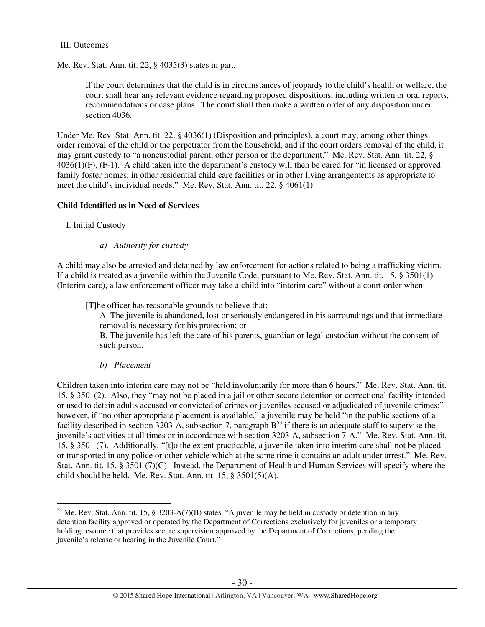## III. Outcomes

Me. Rev. Stat. Ann. tit. 22, § 4035(3) states in part,

If the court determines that the child is in circumstances of jeopardy to the child's health or welfare, the court shall hear any relevant evidence regarding proposed dispositions, including written or oral reports, recommendations or case plans. The court shall then make a written order of any disposition under section 4036.

Under Me. Rev. Stat. Ann. tit. 22, § 4036(1) (Disposition and principles), a court may, among other things, order removal of the child or the perpetrator from the household, and if the court orders removal of the child, it may grant custody to "a noncustodial parent, other person or the department." Me. Rev. Stat. Ann. tit. 22, § 4036(1)(F), (F-1). A child taken into the department's custody will then be cared for "in licensed or approved family foster homes, in other residential child care facilities or in other living arrangements as appropriate to meet the child's individual needs." Me. Rev. Stat. Ann. tit. 22, § 4061(1).

# **Child Identified as in Need of Services**

# I. Initial Custody

 $\overline{a}$ 

*a) Authority for custody* 

A child may also be arrested and detained by law enforcement for actions related to being a trafficking victim. If a child is treated as a juvenile within the Juvenile Code, pursuant to Me. Rev. Stat. Ann. tit. 15, § 3501(1) (Interim care), a law enforcement officer may take a child into "interim care" without a court order when

[T]he officer has reasonable grounds to believe that:

A. The juvenile is abandoned, lost or seriously endangered in his surroundings and that immediate removal is necessary for his protection; or

B. The juvenile has left the care of his parents, guardian or legal custodian without the consent of such person.

*b) Placement* 

Children taken into interim care may not be "held involuntarily for more than 6 hours." Me. Rev. Stat. Ann. tit. 15, § 3501(2). Also, they "may not be placed in a jail or other secure detention or correctional facility intended or used to detain adults accused or convicted of crimes or juveniles accused or adjudicated of juvenile crimes;" however, if "no other appropriate placement is available," a juvenile may be held "in the public sections of a facility described in section 3203-A, subsection 7, paragraph  $B<sup>53</sup>$  if there is an adequate staff to supervise the juvenile's activities at all times or in accordance with section 3203-A, subsection 7-A." Me. Rev. Stat. Ann. tit. 15, § 3501 (7). Additionally, "[t]o the extent practicable, a juvenile taken into interim care shall not be placed or transported in any police or other vehicle which at the same time it contains an adult under arrest." Me. Rev. Stat. Ann. tit. 15, § 3501 (7)(C). Instead, the Department of Health and Human Services will specify where the child should be held. Me. Rev. Stat. Ann. tit. 15, § 3501(5)(A).

<sup>&</sup>lt;sup>53</sup> Me. Rev. Stat. Ann. tit. 15, § 3203-A(7)(B) states, "A juvenile may be held in custody or detention in any detention facility approved or operated by the Department of Corrections exclusively for juveniles or a temporary holding resource that provides secure supervision approved by the Department of Corrections, pending the juvenile's release or hearing in the Juvenile Court."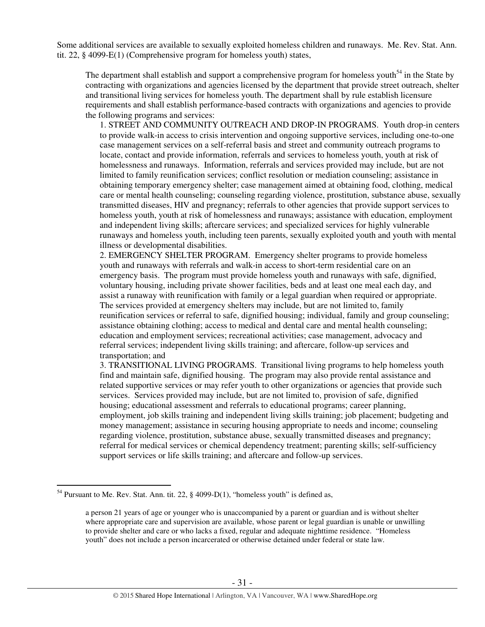Some additional services are available to sexually exploited homeless children and runaways. Me. Rev. Stat. Ann. tit. 22, § 4099-E(1) (Comprehensive program for homeless youth) states,

The department shall establish and support a comprehensive program for homeless youth<sup>54</sup> in the State by contracting with organizations and agencies licensed by the department that provide street outreach, shelter and transitional living services for homeless youth. The department shall by rule establish licensure requirements and shall establish performance-based contracts with organizations and agencies to provide the following programs and services:

1. STREET AND COMMUNITY OUTREACH AND DROP-IN PROGRAMS. Youth drop-in centers to provide walk-in access to crisis intervention and ongoing supportive services, including one-to-one case management services on a self-referral basis and street and community outreach programs to locate, contact and provide information, referrals and services to homeless youth, youth at risk of homelessness and runaways. Information, referrals and services provided may include, but are not limited to family reunification services; conflict resolution or mediation counseling; assistance in obtaining temporary emergency shelter; case management aimed at obtaining food, clothing, medical care or mental health counseling; counseling regarding violence, prostitution, substance abuse, sexually transmitted diseases, HIV and pregnancy; referrals to other agencies that provide support services to homeless youth, youth at risk of homelessness and runaways; assistance with education, employment and independent living skills; aftercare services; and specialized services for highly vulnerable runaways and homeless youth, including teen parents, sexually exploited youth and youth with mental illness or developmental disabilities.

2. EMERGENCY SHELTER PROGRAM. Emergency shelter programs to provide homeless youth and runaways with referrals and walk-in access to short-term residential care on an emergency basis. The program must provide homeless youth and runaways with safe, dignified, voluntary housing, including private shower facilities, beds and at least one meal each day, and assist a runaway with reunification with family or a legal guardian when required or appropriate. The services provided at emergency shelters may include, but are not limited to, family reunification services or referral to safe, dignified housing; individual, family and group counseling; assistance obtaining clothing; access to medical and dental care and mental health counseling; education and employment services; recreational activities; case management, advocacy and referral services; independent living skills training; and aftercare, follow-up services and transportation; and

3. TRANSITIONAL LIVING PROGRAMS. Transitional living programs to help homeless youth find and maintain safe, dignified housing. The program may also provide rental assistance and related supportive services or may refer youth to other organizations or agencies that provide such services. Services provided may include, but are not limited to, provision of safe, dignified housing; educational assessment and referrals to educational programs; career planning, employment, job skills training and independent living skills training; job placement; budgeting and money management; assistance in securing housing appropriate to needs and income; counseling regarding violence, prostitution, substance abuse, sexually transmitted diseases and pregnancy; referral for medical services or chemical dependency treatment; parenting skills; self-sufficiency support services or life skills training; and aftercare and follow-up services.

 $\overline{a}$  $54$  Pursuant to Me. Rev. Stat. Ann. tit. 22, § 4099-D(1), "homeless youth" is defined as,

a person 21 years of age or younger who is unaccompanied by a parent or guardian and is without shelter where appropriate care and supervision are available, whose parent or legal guardian is unable or unwilling to provide shelter and care or who lacks a fixed, regular and adequate nighttime residence. "Homeless youth" does not include a person incarcerated or otherwise detained under federal or state law.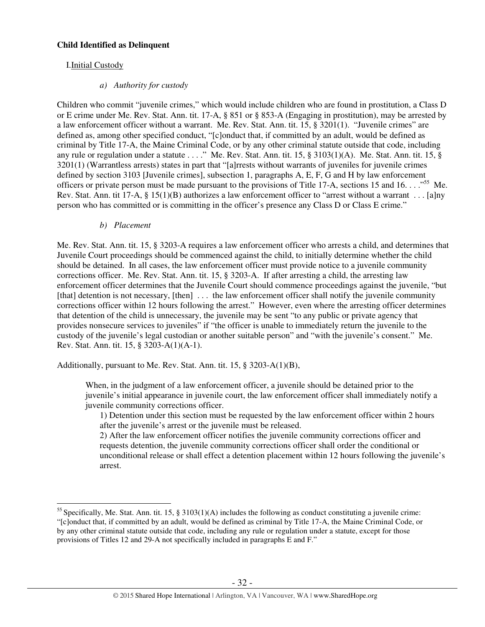# **Child Identified as Delinquent**

# I.Initial Custody

# *a) Authority for custody*

Children who commit "juvenile crimes," which would include children who are found in prostitution, a Class D or E crime under Me. Rev. Stat. Ann. tit. 17-A, § 851 or § 853-A (Engaging in prostitution), may be arrested by a law enforcement officer without a warrant. Me. Rev. Stat. Ann. tit. 15, § 3201(1). "Juvenile crimes" are defined as, among other specified conduct, "[c]onduct that, if committed by an adult, would be defined as criminal by Title 17-A, the Maine Criminal Code, or by any other criminal statute outside that code, including any rule or regulation under a statute . . . ." Me. Rev. Stat. Ann. tit. 15, § 3103(1)(A). Me. Stat. Ann. tit. 15, § 3201(1) (Warrantless arrests) states in part that "[a]rrests without warrants of juveniles for juvenile crimes defined by section 3103 [Juvenile crimes], subsection 1, paragraphs A, E, F, G and H by law enforcement officers or private person must be made pursuant to the provisions of Title 17-A, sections 15 and 16.  $\ldots$ <sup>55</sup> Me. Rev. Stat. Ann. tit 17-A, § 15(1)(B) authorizes a law enforcement officer to "arrest without a warrant . . . [a]ny person who has committed or is committing in the officer's presence any Class D or Class E crime."

# *b) Placement*

 $\overline{a}$ 

Me. Rev. Stat. Ann. tit. 15, § 3203-A requires a law enforcement officer who arrests a child, and determines that Juvenile Court proceedings should be commenced against the child, to initially determine whether the child should be detained. In all cases, the law enforcement officer must provide notice to a juvenile community corrections officer. Me. Rev. Stat. Ann. tit. 15, § 3203-A. If after arresting a child, the arresting law enforcement officer determines that the Juvenile Court should commence proceedings against the juvenile, "but [that] detention is not necessary, [then] ... the law enforcement officer shall notify the juvenile community corrections officer within 12 hours following the arrest." However, even where the arresting officer determines that detention of the child is unnecessary, the juvenile may be sent "to any public or private agency that provides nonsecure services to juveniles" if "the officer is unable to immediately return the juvenile to the custody of the juvenile's legal custodian or another suitable person" and "with the juvenile's consent." Me. Rev. Stat. Ann. tit. 15, § 3203-A(1)(A-1).

Additionally, pursuant to Me. Rev. Stat. Ann. tit. 15, § 3203-A(1)(B),

When, in the judgment of a law enforcement officer, a juvenile should be detained prior to the juvenile's initial appearance in juvenile court, the law enforcement officer shall immediately notify a juvenile community corrections officer.

1) Detention under this section must be requested by the law enforcement officer within 2 hours after the juvenile's arrest or the juvenile must be released.

2) After the law enforcement officer notifies the juvenile community corrections officer and requests detention, the juvenile community corrections officer shall order the conditional or unconditional release or shall effect a detention placement within 12 hours following the juvenile's arrest.

<sup>&</sup>lt;sup>55</sup> Specifically, Me. Stat. Ann. tit. 15, § 3103(1)(A) includes the following as conduct constituting a juvenile crime: "[c]onduct that, if committed by an adult, would be defined as criminal by Title 17-A, the Maine Criminal Code, or by any other criminal statute outside that code, including any rule or regulation under a statute, except for those provisions of Titles 12 and 29-A not specifically included in paragraphs E and F."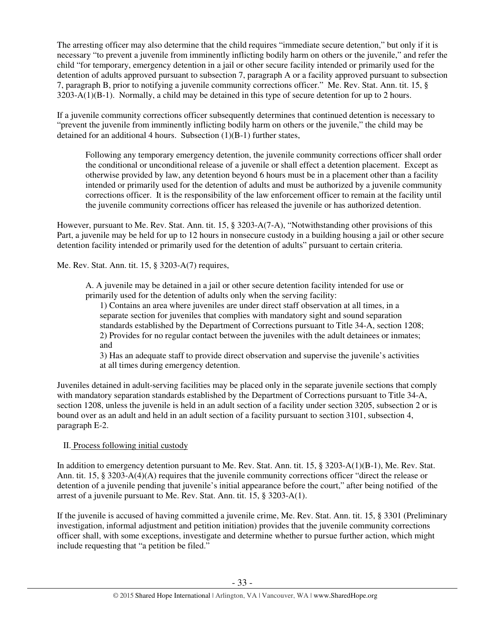The arresting officer may also determine that the child requires "immediate secure detention," but only if it is necessary "to prevent a juvenile from imminently inflicting bodily harm on others or the juvenile," and refer the child "for temporary, emergency detention in a jail or other secure facility intended or primarily used for the detention of adults approved pursuant to subsection 7, paragraph A or a facility approved pursuant to subsection 7, paragraph B, prior to notifying a juvenile community corrections officer." Me. Rev. Stat. Ann. tit. 15, § 3203-A(1)(B-1). Normally, a child may be detained in this type of secure detention for up to 2 hours.

If a juvenile community corrections officer subsequently determines that continued detention is necessary to "prevent the juvenile from imminently inflicting bodily harm on others or the juvenile," the child may be detained for an additional 4 hours. Subsection (1)(B-1) further states,

Following any temporary emergency detention, the juvenile community corrections officer shall order the conditional or unconditional release of a juvenile or shall effect a detention placement. Except as otherwise provided by law, any detention beyond 6 hours must be in a placement other than a facility intended or primarily used for the detention of adults and must be authorized by a juvenile community corrections officer. It is the responsibility of the law enforcement officer to remain at the facility until the juvenile community corrections officer has released the juvenile or has authorized detention.

However, pursuant to Me. Rev. Stat. Ann. tit. 15, § 3203-A(7-A), "Notwithstanding other provisions of this Part, a juvenile may be held for up to 12 hours in nonsecure custody in a building housing a jail or other secure detention facility intended or primarily used for the detention of adults" pursuant to certain criteria.

Me. Rev. Stat. Ann. tit. 15, § 3203-A(7) requires,

A. A juvenile may be detained in a jail or other secure detention facility intended for use or primarily used for the detention of adults only when the serving facility:

1) Contains an area where juveniles are under direct staff observation at all times, in a separate section for juveniles that complies with mandatory sight and sound separation standards established by the Department of Corrections pursuant to Title 34-A, section 1208; 2) Provides for no regular contact between the juveniles with the adult detainees or inmates; and

3) Has an adequate staff to provide direct observation and supervise the juvenile's activities at all times during emergency detention.

Juveniles detained in adult-serving facilities may be placed only in the separate juvenile sections that comply with mandatory separation standards established by the Department of Corrections pursuant to Title 34-A, section 1208, unless the juvenile is held in an adult section of a facility under section 3205, subsection 2 or is bound over as an adult and held in an adult section of a facility pursuant to section 3101, subsection 4, paragraph E-2.

# II. Process following initial custody

In addition to emergency detention pursuant to Me. Rev. Stat. Ann. tit. 15, § 3203-A(1)(B-1), Me. Rev. Stat. Ann. tit. 15, § 3203-A(4)(A) requires that the juvenile community corrections officer "direct the release or detention of a juvenile pending that juvenile's initial appearance before the court," after being notified of the arrest of a juvenile pursuant to Me. Rev. Stat. Ann. tit. 15, § 3203-A(1).

If the juvenile is accused of having committed a juvenile crime, Me. Rev. Stat. Ann. tit. 15, § 3301 (Preliminary investigation, informal adjustment and petition initiation) provides that the juvenile community corrections officer shall, with some exceptions, investigate and determine whether to pursue further action, which might include requesting that "a petition be filed."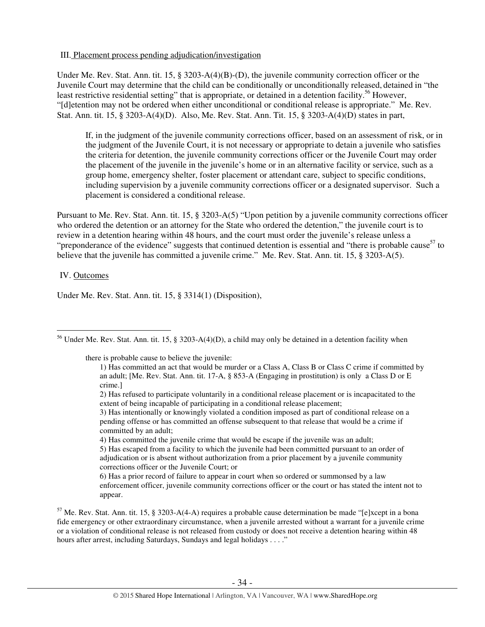## III. Placement process pending adjudication/investigation

Under Me. Rev. Stat. Ann. tit. 15, § 3203-A(4)(B)-(D), the juvenile community correction officer or the Juvenile Court may determine that the child can be conditionally or unconditionally released, detained in "the least restrictive residential setting" that is appropriate, or detained in a detention facility.<sup>56</sup> However, "[d]etention may not be ordered when either unconditional or conditional release is appropriate." Me. Rev. Stat. Ann. tit. 15, § 3203-A(4)(D). Also, Me. Rev. Stat. Ann. Tit. 15, § 3203-A(4)(D) states in part,

If, in the judgment of the juvenile community corrections officer, based on an assessment of risk, or in the judgment of the Juvenile Court, it is not necessary or appropriate to detain a juvenile who satisfies the criteria for detention, the juvenile community corrections officer or the Juvenile Court may order the placement of the juvenile in the juvenile's home or in an alternative facility or service, such as a group home, emergency shelter, foster placement or attendant care, subject to specific conditions, including supervision by a juvenile community corrections officer or a designated supervisor. Such a placement is considered a conditional release.

Pursuant to Me. Rev. Stat. Ann. tit. 15, § 3203-A(5) "Upon petition by a juvenile community corrections officer who ordered the detention or an attorney for the State who ordered the detention," the juvenile court is to review in a detention hearing within 48 hours, and the court must order the juvenile's release unless a "preponderance of the evidence" suggests that continued detention is essential and "there is probable cause" to believe that the juvenile has committed a juvenile crime." Me. Rev. Stat. Ann. tit. 15, § 3203-A(5).

# IV. Outcomes

Under Me. Rev. Stat. Ann. tit. 15, § 3314(1) (Disposition),

there is probable cause to believe the juvenile:

2) Has refused to participate voluntarily in a conditional release placement or is incapacitated to the extent of being incapable of participating in a conditional release placement;

4) Has committed the juvenile crime that would be escape if the juvenile was an adult;

5) Has escaped from a facility to which the juvenile had been committed pursuant to an order of adjudication or is absent without authorization from a prior placement by a juvenile community corrections officer or the Juvenile Court; or

6) Has a prior record of failure to appear in court when so ordered or summonsed by a law enforcement officer, juvenile community corrections officer or the court or has stated the intent not to appear.

 $57$  Me. Rev. Stat. Ann. tit. 15, § 3203-A(4-A) requires a probable cause determination be made "[e]xcept in a bona fide emergency or other extraordinary circumstance, when a juvenile arrested without a warrant for a juvenile crime or a violation of conditional release is not released from custody or does not receive a detention hearing within 48 hours after arrest, including Saturdays, Sundays and legal holidays . . . ."

 $\overline{a}$ <sup>56</sup> Under Me. Rev. Stat. Ann. tit. 15, § 3203-A(4)(D), a child may only be detained in a detention facility when

<sup>1)</sup> Has committed an act that would be murder or a Class A, Class B or Class C crime if committed by an adult; [Me. Rev. Stat. Ann. tit. 17-A, § 853-A (Engaging in prostitution) is only a Class D or E crime.]

<sup>3)</sup> Has intentionally or knowingly violated a condition imposed as part of conditional release on a pending offense or has committed an offense subsequent to that release that would be a crime if committed by an adult;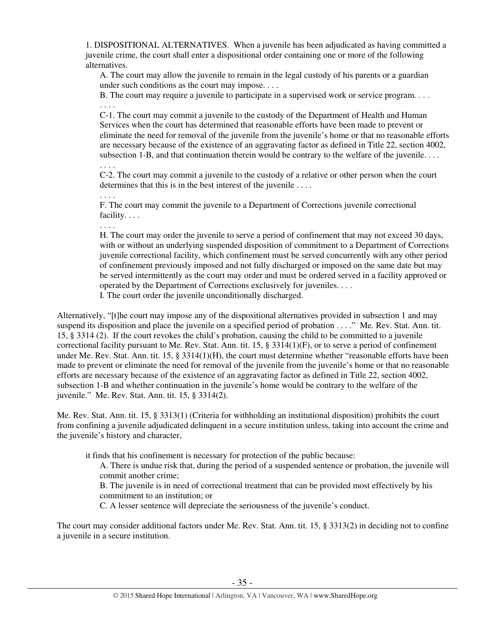1. DISPOSITIONAL ALTERNATIVES. When a juvenile has been adjudicated as having committed a juvenile crime, the court shall enter a dispositional order containing one or more of the following alternatives.

A. The court may allow the juvenile to remain in the legal custody of his parents or a guardian under such conditions as the court may impose. . . .

B. The court may require a juvenile to participate in a supervised work or service program. . . . . . . .

C-1. The court may commit a juvenile to the custody of the Department of Health and Human Services when the court has determined that reasonable efforts have been made to prevent or eliminate the need for removal of the juvenile from the juvenile's home or that no reasonable efforts are necessary because of the existence of an aggravating factor as defined in Title 22, section 4002, subsection 1-B, and that continuation therein would be contrary to the welfare of the juvenile.  $\dots$ 

. . . . C-2. The court may commit a juvenile to the custody of a relative or other person when the court determines that this is in the best interest of the juvenile ....

F. The court may commit the juvenile to a Department of Corrections juvenile correctional facility. . . .

. . . .

. . . .

H. The court may order the juvenile to serve a period of confinement that may not exceed 30 days, with or without an underlying suspended disposition of commitment to a Department of Corrections juvenile correctional facility, which confinement must be served concurrently with any other period of confinement previously imposed and not fully discharged or imposed on the same date but may be served intermittently as the court may order and must be ordered served in a facility approved or operated by the Department of Corrections exclusively for juveniles. . . .

I. The court order the juvenile unconditionally discharged.

Alternatively, "[t]he court may impose any of the dispositional alternatives provided in subsection 1 and may suspend its disposition and place the juvenile on a specified period of probation . . . ." Me. Rev. Stat. Ann. tit. 15, § 3314 (2). If the court revokes the child's probation, causing the child to be committed to a juvenile correctional facility pursuant to Me. Rev. Stat. Ann. tit. 15, § 3314(1)(F), or to serve a period of confinement under Me. Rev. Stat. Ann. tit. 15, § 3314(1)(H), the court must determine whether "reasonable efforts have been made to prevent or eliminate the need for removal of the juvenile from the juvenile's home or that no reasonable efforts are necessary because of the existence of an aggravating factor as defined in Title 22, section 4002, subsection 1-B and whether continuation in the juvenile's home would be contrary to the welfare of the juvenile." Me. Rev. Stat. Ann. tit. 15, § 3314(2).

Me. Rev. Stat. Ann. tit. 15, § 3313(1) (Criteria for withholding an institutional disposition) prohibits the court from confining a juvenile adjudicated delinquent in a secure institution unless, taking into account the crime and the juvenile's history and character,

it finds that his confinement is necessary for protection of the public because:

A. There is undue risk that, during the period of a suspended sentence or probation, the juvenile will commit another crime;

B. The juvenile is in need of correctional treatment that can be provided most effectively by his commitment to an institution; or

C. A lesser sentence will depreciate the seriousness of the juvenile's conduct.

The court may consider additional factors under Me. Rev. Stat. Ann. tit. 15, § 3313(2) in deciding not to confine a juvenile in a secure institution.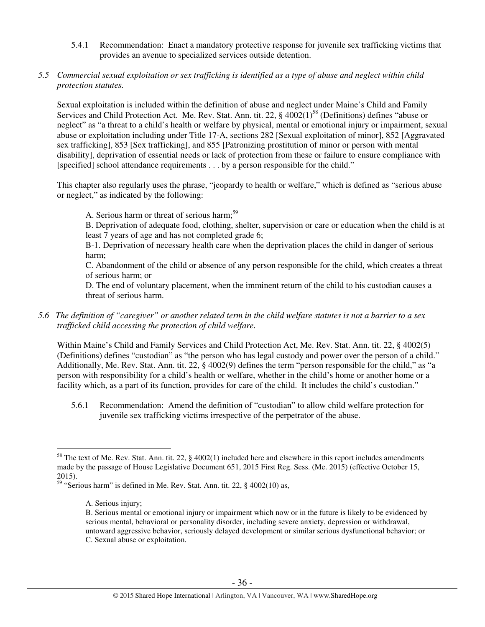- 5.4.1 Recommendation: Enact a mandatory protective response for juvenile sex trafficking victims that provides an avenue to specialized services outside detention.
- *5.5 Commercial sexual exploitation or sex trafficking is identified as a type of abuse and neglect within child protection statutes.*

Sexual exploitation is included within the definition of abuse and neglect under Maine's Child and Family Services and Child Protection Act. Me. Rev. Stat. Ann. tit. 22,  $\S$  4002(1)<sup>58</sup> (Definitions) defines "abuse or neglect" as "a threat to a child's health or welfare by physical, mental or emotional injury or impairment, sexual abuse or exploitation including under Title 17-A, sections 282 [Sexual exploitation of minor], 852 [Aggravated sex trafficking], 853 [Sex trafficking], and 855 [Patronizing prostitution of minor or person with mental disability], deprivation of essential needs or lack of protection from these or failure to ensure compliance with [specified] school attendance requirements . . . by a person responsible for the child."

This chapter also regularly uses the phrase, "jeopardy to health or welfare," which is defined as "serious abuse or neglect," as indicated by the following:

A. Serious harm or threat of serious harm;<sup>59</sup>

B. Deprivation of adequate food, clothing, shelter, supervision or care or education when the child is at least 7 years of age and has not completed grade 6;

B-1. Deprivation of necessary health care when the deprivation places the child in danger of serious harm;

C. Abandonment of the child or absence of any person responsible for the child, which creates a threat of serious harm; or

D. The end of voluntary placement, when the imminent return of the child to his custodian causes a threat of serious harm.

*5.6 The definition of "caregiver" or another related term in the child welfare statutes is not a barrier to a sex trafficked child accessing the protection of child welfare.* 

Within Maine's Child and Family Services and Child Protection Act, Me. Rev. Stat. Ann. tit. 22, § 4002(5) (Definitions) defines "custodian" as "the person who has legal custody and power over the person of a child." Additionally, Me. Rev. Stat. Ann. tit. 22, § 4002(9) defines the term "person responsible for the child," as "a person with responsibility for a child's health or welfare, whether in the child's home or another home or a facility which, as a part of its function, provides for care of the child. It includes the child's custodian."

5.6.1 Recommendation: Amend the definition of "custodian" to allow child welfare protection for juvenile sex trafficking victims irrespective of the perpetrator of the abuse.

 $\overline{a}$  $58$  The text of Me. Rev. Stat. Ann. tit. 22, § 4002(1) included here and elsewhere in this report includes amendments made by the passage of House Legislative Document 651, 2015 First Reg. Sess. (Me. 2015) (effective October 15, 2015).

<sup>59</sup> "Serious harm" is defined in Me. Rev. Stat. Ann. tit. 22, § 4002(10) as,

A. Serious injury;

B. Serious mental or emotional injury or impairment which now or in the future is likely to be evidenced by serious mental, behavioral or personality disorder, including severe anxiety, depression or withdrawal, untoward aggressive behavior, seriously delayed development or similar serious dysfunctional behavior; or C. Sexual abuse or exploitation.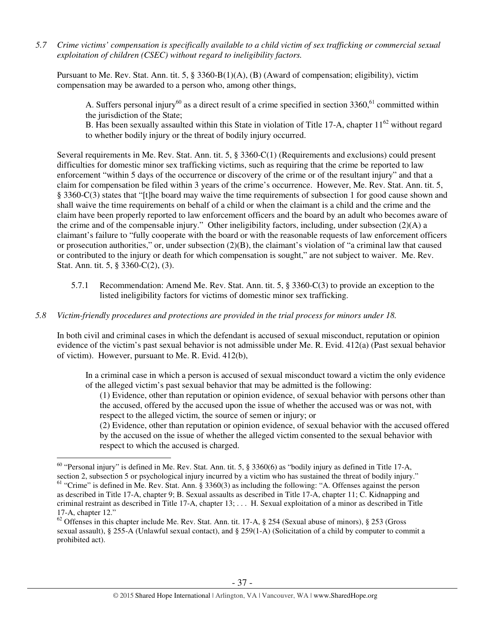*5.7 Crime victims' compensation is specifically available to a child victim of sex trafficking or commercial sexual exploitation of children (CSEC) without regard to ineligibility factors.* 

Pursuant to Me. Rev. Stat. Ann. tit. 5, § 3360-B(1)(A), (B) (Award of compensation; eligibility), victim compensation may be awarded to a person who, among other things,

A. Suffers personal injury<sup>60</sup> as a direct result of a crime specified in section 3360,<sup>61</sup> committed within the jurisdiction of the State;

B. Has been sexually assaulted within this State in violation of Title 17-A, chapter  $11^{62}$  without regard to whether bodily injury or the threat of bodily injury occurred.

Several requirements in Me. Rev. Stat. Ann. tit. 5, § 3360-C(1) (Requirements and exclusions) could present difficulties for domestic minor sex trafficking victims, such as requiring that the crime be reported to law enforcement "within 5 days of the occurrence or discovery of the crime or of the resultant injury" and that a claim for compensation be filed within 3 years of the crime's occurrence. However, Me. Rev. Stat. Ann. tit. 5, § 3360-C(3) states that "[t]he board may waive the time requirements of subsection 1 for good cause shown and shall waive the time requirements on behalf of a child or when the claimant is a child and the crime and the claim have been properly reported to law enforcement officers and the board by an adult who becomes aware of the crime and of the compensable injury." Other ineligibility factors, including, under subsection (2)(A) a claimant's failure to "fully cooperate with the board or with the reasonable requests of law enforcement officers or prosecution authorities," or, under subsection  $(2)(B)$ , the claimant's violation of "a criminal law that caused or contributed to the injury or death for which compensation is sought," are not subject to waiver. Me. Rev. Stat. Ann. tit. 5, § 3360-C(2), (3).

5.7.1 Recommendation: Amend Me. Rev. Stat. Ann. tit. 5, § 3360-C(3) to provide an exception to the listed ineligibility factors for victims of domestic minor sex trafficking.

# *5.8 Victim-friendly procedures and protections are provided in the trial process for minors under 18.*

 $\overline{a}$ 

In both civil and criminal cases in which the defendant is accused of sexual misconduct, reputation or opinion evidence of the victim's past sexual behavior is not admissible under Me. R. Evid. 412(a) (Past sexual behavior of victim). However, pursuant to Me. R. Evid. 412(b),

In a criminal case in which a person is accused of sexual misconduct toward a victim the only evidence of the alleged victim's past sexual behavior that may be admitted is the following:

(1) Evidence, other than reputation or opinion evidence, of sexual behavior with persons other than the accused, offered by the accused upon the issue of whether the accused was or was not, with respect to the alleged victim, the source of semen or injury; or

(2) Evidence, other than reputation or opinion evidence, of sexual behavior with the accused offered by the accused on the issue of whether the alleged victim consented to the sexual behavior with respect to which the accused is charged.

 $60$  "Personal injury" is defined in Me. Rev. Stat. Ann. tit. 5, § 3360(6) as "bodily injury as defined in Title 17-A, section 2, subsection 5 or psychological injury incurred by a victim who has sustained the threat of bodily injury." <sup>61</sup> "Crime" is defined in Me. Rev. Stat. Ann. § 3360(3) as including the following: "A. Offenses against the person as described in Title 17-A, chapter 9; B. Sexual assaults as described in Title 17-A, chapter 11; C. Kidnapping and criminal restraint as described in Title 17-A, chapter 13; . . . H. Sexual exploitation of a minor as described in Title 17-A, chapter 12."

 $62$  Offenses in this chapter include Me. Rev. Stat. Ann. tit. 17-A, § 254 (Sexual abuse of minors), § 253 (Gross sexual assault), § 255-A (Unlawful sexual contact), and § 259(1-A) (Solicitation of a child by computer to commit a prohibited act).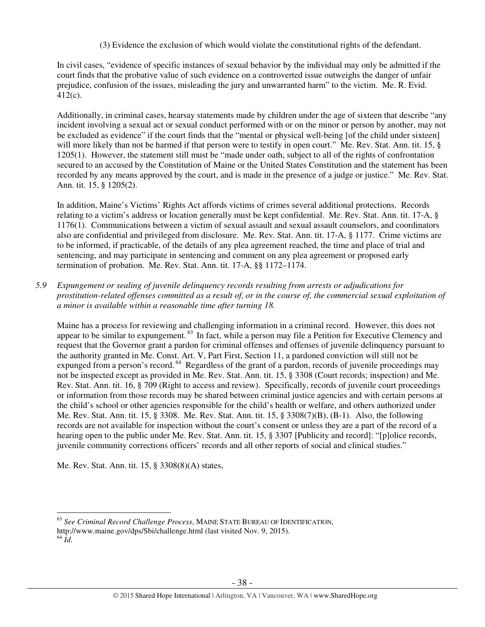(3) Evidence the exclusion of which would violate the constitutional rights of the defendant.

In civil cases, "evidence of specific instances of sexual behavior by the individual may only be admitted if the court finds that the probative value of such evidence on a controverted issue outweighs the danger of unfair prejudice, confusion of the issues, misleading the jury and unwarranted harm" to the victim. Me. R. Evid. 412(c).

Additionally, in criminal cases, hearsay statements made by children under the age of sixteen that describe "any incident involving a sexual act or sexual conduct performed with or on the minor or person by another, may not be excluded as evidence" if the court finds that the "mental or physical well-being [of the child under sixteen] will more likely than not be harmed if that person were to testify in open court." Me. Rev. Stat. Ann. tit. 15, § 1205(1). However, the statement still must be "made under oath, subject to all of the rights of confrontation secured to an accused by the Constitution of Maine or the United States Constitution and the statement has been recorded by any means approved by the court, and is made in the presence of a judge or justice." Me. Rev. Stat. Ann. tit. 15, § 1205(2).

In addition, Maine's Victims' Rights Act affords victims of crimes several additional protections. Records relating to a victim's address or location generally must be kept confidential. Me. Rev. Stat. Ann. tit. 17-A, § 1176(1). Communications between a victim of sexual assault and sexual assault counselors, and coordinators also are confidential and privileged from disclosure. Me. Rev. Stat. Ann. tit. 17-A, § 1177. Crime victims are to be informed, if practicable, of the details of any plea agreement reached, the time and place of trial and sentencing, and may participate in sentencing and comment on any plea agreement or proposed early termination of probation. Me. Rev. Stat. Ann. tit. 17-A, §§ 1172–1174.

*5.9 Expungement or sealing of juvenile delinquency records resulting from arrests or adjudications for prostitution-related offenses committed as a result of, or in the course of, the commercial sexual exploitation of a minor is available within a reasonable time after turning 18.* 

Maine has a process for reviewing and challenging information in a criminal record. However, this does not appear to be similar to expungement.<sup>63</sup> In fact, while a person may file a Petition for Executive Clemency and request that the Governor grant a pardon for criminal offenses and offenses of juvenile delinquency pursuant to the authority granted in Me. Const. Art. V, Part First, Section 11, a pardoned conviction will still not be expunged from a person's record.<sup>64</sup> Regardless of the grant of a pardon, records of juvenile proceedings may not be inspected except as provided in Me. Rev. Stat. Ann. tit. 15, § 3308 (Court records; inspection) and Me. Rev. Stat. Ann. tit. 16, § 709 (Right to access and review). Specifically, records of juvenile court proceedings or information from those records may be shared between criminal justice agencies and with certain persons at the child's school or other agencies responsible for the child's health or welfare, and others authorized under Me. Rev. Stat. Ann. tit. 15, § 3308. Me. Rev. Stat. Ann. tit. 15, § 3308(7)(B), (B-1). Also, the following records are not available for inspection without the court's consent or unless they are a part of the record of a hearing open to the public under Me. Rev. Stat. Ann. tit. 15, § 3307 [Publicity and record]: "[p]olice records, juvenile community corrections officers' records and all other reports of social and clinical studies."

Me. Rev. Stat. Ann. tit. 15, § 3308(8)(A) states,

 $\overline{a}$ 

<sup>63</sup> *See Criminal Record Challenge Process*, MAINE STATE BUREAU OF IDENTIFICATION,

http://www.maine.gov/dps/Sbi/challenge.html (last visited Nov. 9, 2015).

 $64 \overline{Id}$ .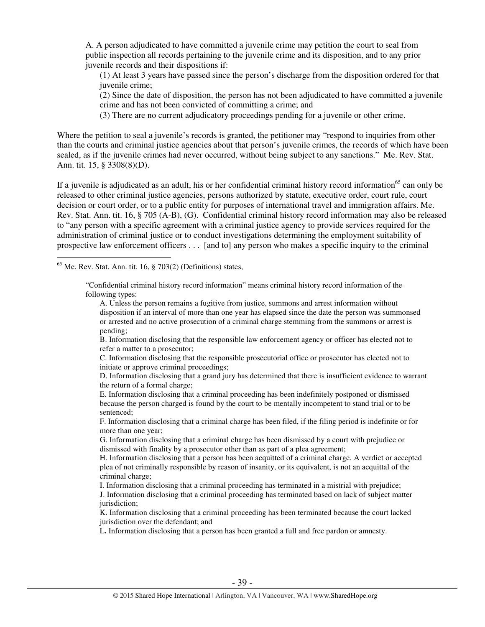A. A person adjudicated to have committed a juvenile crime may petition the court to seal from public inspection all records pertaining to the juvenile crime and its disposition, and to any prior juvenile records and their dispositions if:

(1) At least 3 years have passed since the person's discharge from the disposition ordered for that juvenile crime;

(2) Since the date of disposition, the person has not been adjudicated to have committed a juvenile crime and has not been convicted of committing a crime; and

(3) There are no current adjudicatory proceedings pending for a juvenile or other crime.

Where the petition to seal a juvenile's records is granted, the petitioner may "respond to inquiries from other than the courts and criminal justice agencies about that person's juvenile crimes, the records of which have been sealed, as if the juvenile crimes had never occurred, without being subject to any sanctions." Me. Rev. Stat. Ann. tit. 15, § 3308(8)(D).

If a juvenile is adjudicated as an adult, his or her confidential criminal history record information<sup>65</sup> can only be released to other criminal justice agencies, persons authorized by statute, executive order, court rule, court decision or court order, or to a public entity for purposes of international travel and immigration affairs. Me. Rev. Stat. Ann. tit. 16, § 705 (A-B), (G). Confidential criminal history record information may also be released to "any person with a specific agreement with a criminal justice agency to provide services required for the administration of criminal justice or to conduct investigations determining the employment suitability of prospective law enforcement officers . . . [and to] any person who makes a specific inquiry to the criminal

 $<sup>65</sup>$  Me. Rev. Stat. Ann. tit. 16, § 703(2) (Definitions) states,</sup>

 $\overline{a}$ 

"Confidential criminal history record information" means criminal history record information of the following types:

A. Unless the person remains a fugitive from justice, summons and arrest information without disposition if an interval of more than one year has elapsed since the date the person was summonsed or arrested and no active prosecution of a criminal charge stemming from the summons or arrest is pending;

B. Information disclosing that the responsible law enforcement agency or officer has elected not to refer a matter to a prosecutor;

C. Information disclosing that the responsible prosecutorial office or prosecutor has elected not to initiate or approve criminal proceedings;

D. Information disclosing that a grand jury has determined that there is insufficient evidence to warrant the return of a formal charge;

E. Information disclosing that a criminal proceeding has been indefinitely postponed or dismissed because the person charged is found by the court to be mentally incompetent to stand trial or to be sentenced;

F. Information disclosing that a criminal charge has been filed, if the filing period is indefinite or for more than one year;

G. Information disclosing that a criminal charge has been dismissed by a court with prejudice or dismissed with finality by a prosecutor other than as part of a plea agreement;

H. Information disclosing that a person has been acquitted of a criminal charge. A verdict or accepted plea of not criminally responsible by reason of insanity, or its equivalent, is not an acquittal of the criminal charge;

I. Information disclosing that a criminal proceeding has terminated in a mistrial with prejudice;

J. Information disclosing that a criminal proceeding has terminated based on lack of subject matter jurisdiction;

K. Information disclosing that a criminal proceeding has been terminated because the court lacked jurisdiction over the defendant; and

L**.** Information disclosing that a person has been granted a full and free pardon or amnesty.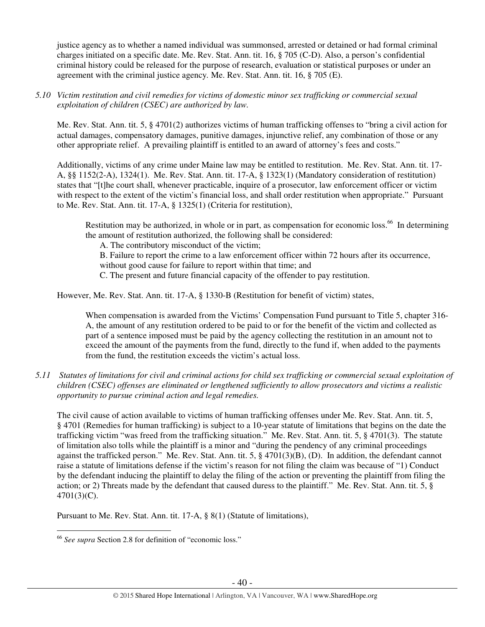justice agency as to whether a named individual was summonsed, arrested or detained or had formal criminal charges initiated on a specific date. Me. Rev. Stat. Ann. tit. 16, § 705 (C-D). Also, a person's confidential criminal history could be released for the purpose of research, evaluation or statistical purposes or under an agreement with the criminal justice agency*.* Me. Rev. Stat. Ann. tit. 16, § 705 (E).

*5.10 Victim restitution and civil remedies for victims of domestic minor sex trafficking or commercial sexual exploitation of children (CSEC) are authorized by law.* 

Me. Rev. Stat. Ann. tit. 5, § 4701(2) authorizes victims of human trafficking offenses to "bring a civil action for actual damages, compensatory damages, punitive damages, injunctive relief, any combination of those or any other appropriate relief. A prevailing plaintiff is entitled to an award of attorney's fees and costs."

Additionally, victims of any crime under Maine law may be entitled to restitution. Me. Rev. Stat. Ann. tit. 17- A, §§ 1152(2-A), 1324(1). Me. Rev. Stat. Ann. tit. 17-A, § 1323(1) (Mandatory consideration of restitution) states that "[t]he court shall, whenever practicable, inquire of a prosecutor, law enforcement officer or victim with respect to the extent of the victim's financial loss, and shall order restitution when appropriate." Pursuant to Me. Rev. Stat. Ann. tit. 17-A, § 1325(1) (Criteria for restitution),

Restitution may be authorized, in whole or in part, as compensation for economic loss.<sup>66</sup> In determining the amount of restitution authorized, the following shall be considered:

A. The contributory misconduct of the victim;

B. Failure to report the crime to a law enforcement officer within 72 hours after its occurrence,

without good cause for failure to report within that time; and

C. The present and future financial capacity of the offender to pay restitution.

However, Me. Rev. Stat. Ann. tit. 17-A, § 1330-B (Restitution for benefit of victim) states,

When compensation is awarded from the Victims' Compensation Fund pursuant to Title 5, chapter 316-A, the amount of any restitution ordered to be paid to or for the benefit of the victim and collected as part of a sentence imposed must be paid by the agency collecting the restitution in an amount not to exceed the amount of the payments from the fund, directly to the fund if, when added to the payments from the fund, the restitution exceeds the victim's actual loss.

*5.11 Statutes of limitations for civil and criminal actions for child sex trafficking or commercial sexual exploitation of children (CSEC) offenses are eliminated or lengthened sufficiently to allow prosecutors and victims a realistic opportunity to pursue criminal action and legal remedies.* 

The civil cause of action available to victims of human trafficking offenses under Me. Rev. Stat. Ann. tit. 5, § 4701 (Remedies for human trafficking) is subject to a 10-year statute of limitations that begins on the date the trafficking victim "was freed from the trafficking situation." Me. Rev. Stat. Ann. tit. 5, § 4701(3). The statute of limitation also tolls while the plaintiff is a minor and "during the pendency of any criminal proceedings against the trafficked person." Me. Rev. Stat. Ann. tit. 5, § 4701(3)(B), (D). In addition, the defendant cannot raise a statute of limitations defense if the victim's reason for not filing the claim was because of "1) Conduct by the defendant inducing the plaintiff to delay the filing of the action or preventing the plaintiff from filing the action; or 2) Threats made by the defendant that caused duress to the plaintiff." Me. Rev. Stat. Ann. tit. 5, § 4701(3)(C).

Pursuant to Me. Rev. Stat. Ann. tit. 17-A, § 8(1) (Statute of limitations),

 $\overline{a}$ <sup>66</sup> *See supra* Section 2.8 for definition of "economic loss."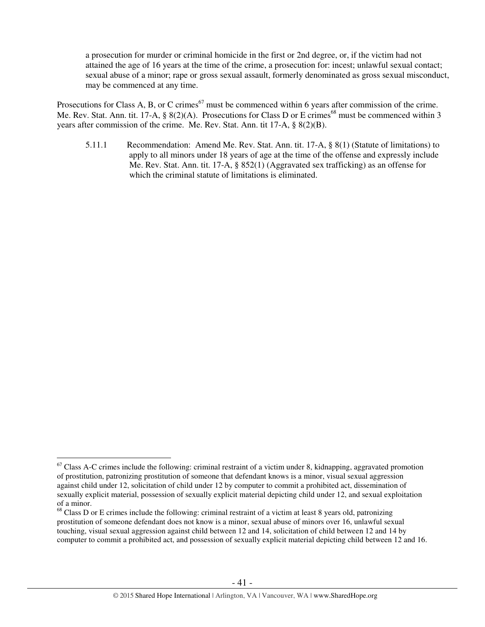a prosecution for murder or criminal homicide in the first or 2nd degree, or, if the victim had not attained the age of 16 years at the time of the crime, a prosecution for: incest; unlawful sexual contact; sexual abuse of a minor; rape or gross sexual assault, formerly denominated as gross sexual misconduct, may be commenced at any time.

Prosecutions for Class A, B, or C crimes<sup>67</sup> must be commenced within 6 years after commission of the crime. Me. Rev. Stat. Ann. tit. 17-A,  $\S 8(2)(A)$ . Prosecutions for Class D or E crimes<sup>68</sup> must be commenced within 3 years after commission of the crime. Me. Rev. Stat. Ann. tit 17-A, § 8(2)(B).

5.11.1 Recommendation: Amend Me. Rev. Stat. Ann. tit. 17-A, § 8(1) (Statute of limitations) to apply to all minors under 18 years of age at the time of the offense and expressly include Me. Rev. Stat. Ann. tit. 17-A, § 852(1) (Aggravated sex trafficking) as an offense for which the criminal statute of limitations is eliminated.

 $\overline{a}$ 

 $67$  Class A-C crimes include the following: criminal restraint of a victim under 8, kidnapping, aggravated promotion of prostitution, patronizing prostitution of someone that defendant knows is a minor, visual sexual aggression against child under 12, solicitation of child under 12 by computer to commit a prohibited act, dissemination of sexually explicit material, possession of sexually explicit material depicting child under 12, and sexual exploitation of a minor.

<sup>&</sup>lt;sup>68</sup> Class D or E crimes include the following: criminal restraint of a victim at least 8 years old, patronizing prostitution of someone defendant does not know is a minor, sexual abuse of minors over 16, unlawful sexual touching, visual sexual aggression against child between 12 and 14, solicitation of child between 12 and 14 by computer to commit a prohibited act, and possession of sexually explicit material depicting child between 12 and 16.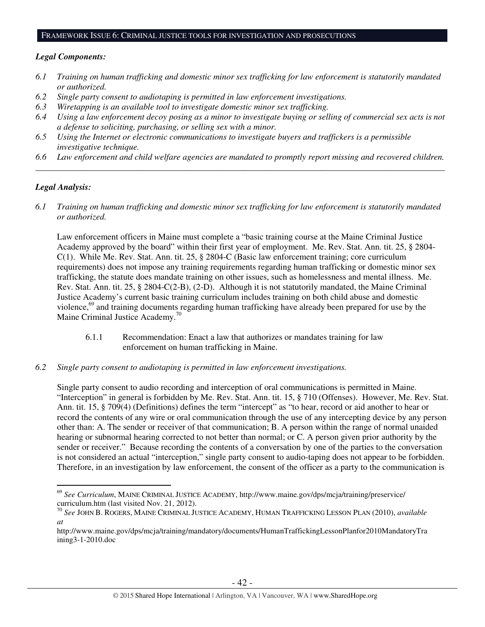## FRAMEWORK ISSUE 6: CRIMINAL JUSTICE TOOLS FOR INVESTIGATION AND PROSECUTIONS

#### *Legal Components:*

- *6.1 Training on human trafficking and domestic minor sex trafficking for law enforcement is statutorily mandated or authorized.*
- *6.2 Single party consent to audiotaping is permitted in law enforcement investigations.*
- *6.3 Wiretapping is an available tool to investigate domestic minor sex trafficking.*
- *6.4 Using a law enforcement decoy posing as a minor to investigate buying or selling of commercial sex acts is not a defense to soliciting, purchasing, or selling sex with a minor.*
- *6.5 Using the Internet or electronic communications to investigate buyers and traffickers is a permissible investigative technique.*
- *6.6 Law enforcement and child welfare agencies are mandated to promptly report missing and recovered children. \_\_\_\_\_\_\_\_\_\_\_\_\_\_\_\_\_\_\_\_\_\_\_\_\_\_\_\_\_\_\_\_\_\_\_\_\_\_\_\_\_\_\_\_\_\_\_\_\_\_\_\_\_\_\_\_\_\_\_\_\_\_\_\_\_\_\_\_\_\_\_\_\_\_\_\_\_\_\_\_\_\_\_\_\_\_\_\_\_\_\_\_\_\_*

#### *Legal Analysis:*

 $\overline{a}$ 

*6.1 Training on human trafficking and domestic minor sex trafficking for law enforcement is statutorily mandated or authorized.*

Law enforcement officers in Maine must complete a "basic training course at the Maine Criminal Justice Academy approved by the board" within their first year of employment. Me. Rev. Stat. Ann. tit. 25, § 2804- C(1). While Me. Rev. Stat. Ann. tit. 25, § 2804-C (Basic law enforcement training; core curriculum requirements) does not impose any training requirements regarding human trafficking or domestic minor sex trafficking, the statute does mandate training on other issues, such as homelessness and mental illness. Me. Rev. Stat. Ann. tit. 25, § 2804-C(2-B), (2-D). Although it is not statutorily mandated, the Maine Criminal Justice Academy's current basic training curriculum includes training on both child abuse and domestic violence,<sup>69</sup> and training documents regarding human trafficking have already been prepared for use by the Maine Criminal Justice Academy.<sup>70</sup>

- 6.1.1 Recommendation: Enact a law that authorizes or mandates training for law enforcement on human trafficking in Maine.
- *6.2 Single party consent to audiotaping is permitted in law enforcement investigations.*

Single party consent to audio recording and interception of oral communications is permitted in Maine. "Interception" in general is forbidden by Me. Rev. Stat. Ann. tit. 15, § 710 (Offenses). However, Me. Rev. Stat. Ann. tit. 15, § 709(4) (Definitions) defines the term "intercept" as "to hear, record or aid another to hear or record the contents of any wire or oral communication through the use of any intercepting device by any person other than: A. The sender or receiver of that communication; B. A person within the range of normal unaided hearing or subnormal hearing corrected to not better than normal; or C. A person given prior authority by the sender or receiver." Because recording the contents of a conversation by one of the parties to the conversation is not considered an actual "interception," single party consent to audio-taping does not appear to be forbidden. Therefore, in an investigation by law enforcement, the consent of the officer as a party to the communication is

<sup>69</sup> *See Curriculum*, MAINE CRIMINAL JUSTICE ACADEMY, http://www.maine.gov/dps/mcja/training/preservice/ curriculum.htm (last visited Nov. 21, 2012).

<sup>70</sup> *See* JOHN B. ROGERS, MAINE CRIMINAL JUSTICE ACADEMY, HUMAN TRAFFICKING LESSON PLAN (2010), *available at*

http://www.maine.gov/dps/mcja/training/mandatory/documents/HumanTraffickingLessonPlanfor2010MandatoryTra ining3-1-2010.doc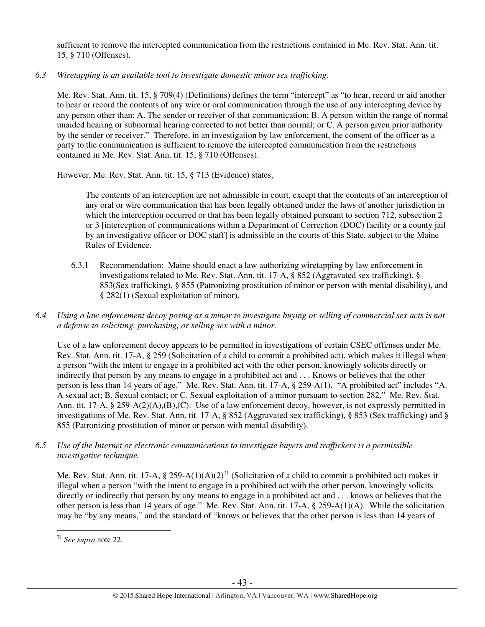sufficient to remove the intercepted communication from the restrictions contained in Me. Rev. Stat. Ann. tit. 15, § 710 (Offenses).

*6.3 Wiretapping is an available tool to investigate domestic minor sex trafficking.* 

Me. Rev. Stat. Ann. tit. 15, § 709(4) (Definitions) defines the term "intercept" as "to hear, record or aid another to hear or record the contents of any wire or oral communication through the use of any intercepting device by any person other than: A. The sender or receiver of that communication; B. A person within the range of normal unaided hearing or subnormal hearing corrected to not better than normal; or C. A person given prior authority by the sender or receiver." Therefore, in an investigation by law enforcement, the consent of the officer as a party to the communication is sufficient to remove the intercepted communication from the restrictions contained in Me. Rev. Stat. Ann. tit. 15, § 710 (Offenses).

However, Me. Rev. Stat. Ann. tit. 15, § 713 (Evidence) states,

The contents of an interception are not admissible in court, except that the contents of an interception of any oral or wire communication that has been legally obtained under the laws of another jurisdiction in which the interception occurred or that has been legally obtained pursuant to section 712, subsection 2 or 3 [interception of communications within a Department of Correction (DOC) facility or a county jail by an investigative officer or DOC staff] is admissible in the courts of this State, subject to the Maine Rules of Evidence.

- 6.3.1 Recommendation: Maine should enact a law authorizing wiretapping by law enforcement in investigations related to Me. Rev. Stat. Ann. tit. 17-A, § 852 (Aggravated sex trafficking), § 853(Sex trafficking), § 855 (Patronizing prostitution of minor or person with mental disability), and § 282(1) (Sexual exploitation of minor).
- *6.4 Using a law enforcement decoy posing as a minor to investigate buying or selling of commercial sex acts is not a defense to soliciting, purchasing, or selling sex with a minor.*

Use of a law enforcement decoy appears to be permitted in investigations of certain CSEC offenses under Me. Rev. Stat. Ann. tit. 17-A, § 259 (Solicitation of a child to commit a prohibited act), which makes it illegal when a person "with the intent to engage in a prohibited act with the other person, knowingly solicits directly or indirectly that person by any means to engage in a prohibited act and . . . Knows or believes that the other person is less than 14 years of age." Me. Rev. Stat. Ann. tit. 17-A, § 259-A(1). "A prohibited act" includes "A. A sexual act; B. Sexual contact; or C. Sexual exploitation of a minor pursuant to section 282." Me. Rev. Stat. Ann. tit. 17-A, § 259-A(2)(A),(B),(C). Use of a law enforcement decoy, however, is not expressly permitted in investigations of Me. Rev. Stat. Ann. tit. 17-A, § 852 (Aggravated sex trafficking), § 853 (Sex trafficking) and § 855 (Patronizing prostitution of minor or person with mental disability).

*6.5 Use of the Internet or electronic communications to investigate buyers and traffickers is a permissible investigative technique.* 

Me. Rev. Stat. Ann. tit. 17-A, § 259-A(1)(A)(2)<sup>71</sup> (Solicitation of a child to commit a prohibited act) makes it illegal when a person "with the intent to engage in a prohibited act with the other person, knowingly solicits directly or indirectly that person by any means to engage in a prohibited act and . . . knows or believes that the other person is less than 14 years of age." Me. Rev. Stat. Ann. tit. 17-A, § 259-A(1)(A). While the solicitation may be "by any means," and the standard of "knows or believes that the other person is less than 14 years of

 $\overline{a}$ <sup>71</sup> *See supra* note 22.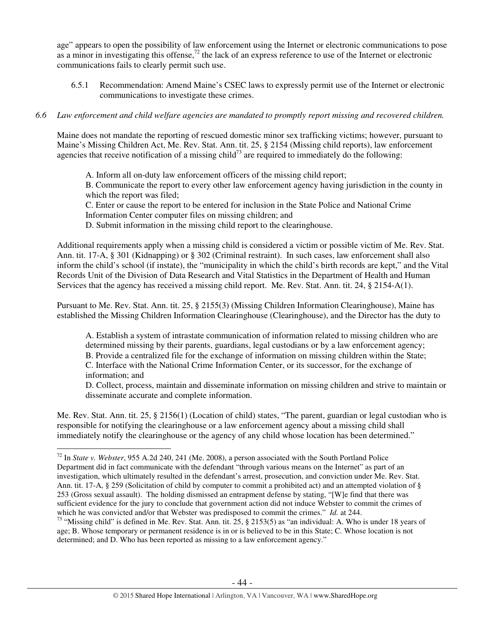age" appears to open the possibility of law enforcement using the Internet or electronic communications to pose as a minor in investigating this offense,<sup>72</sup> the lack of an express reference to use of the Internet or electronic communications fails to clearly permit such use.

6.5.1 Recommendation: Amend Maine's CSEC laws to expressly permit use of the Internet or electronic communications to investigate these crimes.

# *6.6 Law enforcement and child welfare agencies are mandated to promptly report missing and recovered children.*

Maine does not mandate the reporting of rescued domestic minor sex trafficking victims; however, pursuant to Maine's Missing Children Act, Me. Rev. Stat. Ann. tit. 25, § 2154 (Missing child reports), law enforcement agencies that receive notification of a missing child<sup>73</sup> are required to immediately do the following:

A. Inform all on-duty law enforcement officers of the missing child report;

B. Communicate the report to every other law enforcement agency having jurisdiction in the county in which the report was filed;

C. Enter or cause the report to be entered for inclusion in the State Police and National Crime Information Center computer files on missing children; and

D. Submit information in the missing child report to the clearinghouse.

Additional requirements apply when a missing child is considered a victim or possible victim of Me. Rev. Stat. Ann. tit. 17-A, § 301 (Kidnapping) or § 302 (Criminal restraint). In such cases, law enforcement shall also inform the child's school (if instate), the "municipality in which the child's birth records are kept," and the Vital Records Unit of the Division of Data Research and Vital Statistics in the Department of Health and Human Services that the agency has received a missing child report. Me. Rev. Stat. Ann. tit. 24, § 2154-A(1).

Pursuant to Me. Rev. Stat. Ann. tit. 25, § 2155(3) (Missing Children Information Clearinghouse), Maine has established the Missing Children Information Clearinghouse (Clearinghouse), and the Director has the duty to

A. Establish a system of intrastate communication of information related to missing children who are determined missing by their parents, guardians, legal custodians or by a law enforcement agency; B. Provide a centralized file for the exchange of information on missing children within the State; C. Interface with the National Crime Information Center, or its successor, for the exchange of information; and

D. Collect, process, maintain and disseminate information on missing children and strive to maintain or disseminate accurate and complete information.

Me. Rev. Stat. Ann. tit. 25, § 2156(1) (Location of child) states, "The parent, guardian or legal custodian who is responsible for notifying the clearinghouse or a law enforcement agency about a missing child shall immediately notify the clearinghouse or the agency of any child whose location has been determined."

 $\overline{a}$ 

<sup>72</sup> In *State v. Webster*, 955 A.2d 240, 241 (Me. 2008), a person associated with the South Portland Police Department did in fact communicate with the defendant "through various means on the Internet" as part of an investigation, which ultimately resulted in the defendant's arrest, prosecution, and conviction under Me. Rev. Stat. Ann. tit. 17-A, § 259 (Solicitation of child by computer to commit a prohibited act) and an attempted violation of § 253 (Gross sexual assault). The holding dismissed an entrapment defense by stating, "[W]e find that there was sufficient evidence for the jury to conclude that government action did not induce Webster to commit the crimes of which he was convicted and/or that Webster was predisposed to commit the crimes." *Id.* at 244.

<sup>&</sup>lt;sup>73</sup> "Missing child" is defined in Me. Rev. Stat. Ann. tit. 25,  $\S$  2153(5) as "an individual: A. Who is under 18 years of age; B. Whose temporary or permanent residence is in or is believed to be in this State; C. Whose location is not determined; and D. Who has been reported as missing to a law enforcement agency."